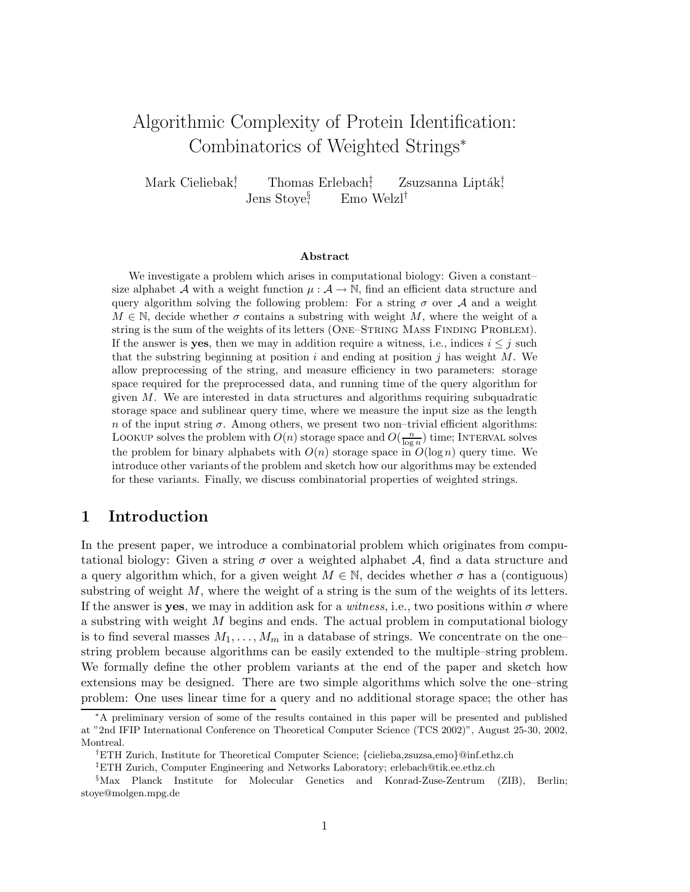# Algorithmic Complexity of Protein Identification: Combinatorics of Weighted Strings<sup>∗</sup>

Mark Cieliebak† , Thomas Erlebach‡ <sup>†</sup>, Zsuzsanna Lipták<sup>†</sup>, Jens Stoye§ Emo Welzl<sup>†</sup>

#### **Abstract**

We investigate a problem which arises in computational biology: Given a constant– size alphabet A with a weight function  $\mu : \mathcal{A} \to \mathbb{N}$ , find an efficient data structure and query algorithm solving the following problem: For a string  $\sigma$  over A and a weight  $M \in \mathbb{N}$ , decide whether  $\sigma$  contains a substring with weight M, where the weight of a string is the sum of the weights of its letters (ONE–STRING MASS FINDING PROBLEM). If the answer is **yes**, then we may in addition require a witness, i.e., indices  $i \leq j$  such that the substring beginning at position i and ending at position j has weight  $M$ . We allow preprocessing of the string, and measure efficiency in two parameters: storage space required for the preprocessed data, and running time of the query algorithm for given  $M$ . We are interested in data structures and algorithms requiring subquadratic storage space and sublinear query time, where we measure the input size as the length n of the input string  $\sigma$ . Among others, we present two non–trivial efficient algorithms: LOOKUP solves the problem with  $O(n)$  storage space and  $O(\frac{n}{\log n})$  time; INTERVAL solves<br>the problem for binary alphabets with  $O(n)$  storage space in  $O(\log n)$  sucry time. We the problem for binary alphabets with  $O(n)$  storage space in  $O(\log n)$  query time. We introduce other variants of the problem and sketch how our algorithms may be extended for these variants. Finally, we discuss combinatorial properties of weighted strings.

## **1 Introduction**

In the present paper, we introduce a combinatorial problem which originates from computational biology: Given a string  $\sigma$  over a weighted alphabet  $\mathcal{A}$ , find a data structure and a query algorithm which, for a given weight  $M \in \mathbb{N}$ , decides whether  $\sigma$  has a (contiguous) substring of weight  $M$ , where the weight of a string is the sum of the weights of its letters. If the answer is **yes**, we may in addition ask for a *witness*, i.e., two positions within  $\sigma$  where a substring with weight M begins and ends. The actual problem in computational biology is to find several masses  $M_1, \ldots, M_m$  in a database of strings. We concentrate on the onestring problem because algorithms can be easily extended to the multiple–string problem. We formally define the other problem variants at the end of the paper and sketch how extensions may be designed. There are two simple algorithms which solve the one–string problem: One uses linear time for a query and no additional storage space; the other has

<sup>∗</sup>A preliminary version of some of the results contained in this paper will be presented and published at "2nd IFIP International Conference on Theoretical Computer Science (TCS 2002)", August 25-30, 2002, Montreal.

<sup>†</sup>ETH Zurich, Institute for Theoretical Computer Science; *{*cielieba,zsuzsa,emo*}*@inf.ethz.ch

<sup>‡</sup>ETH Zurich, Computer Engineering and Networks Laboratory; erlebach@tik.ee.ethz.ch

<sup>§</sup>Max Planck Institute for Molecular Genetics and Konrad-Zuse-Zentrum (ZIB), Berlin; stoye@molgen.mpg.de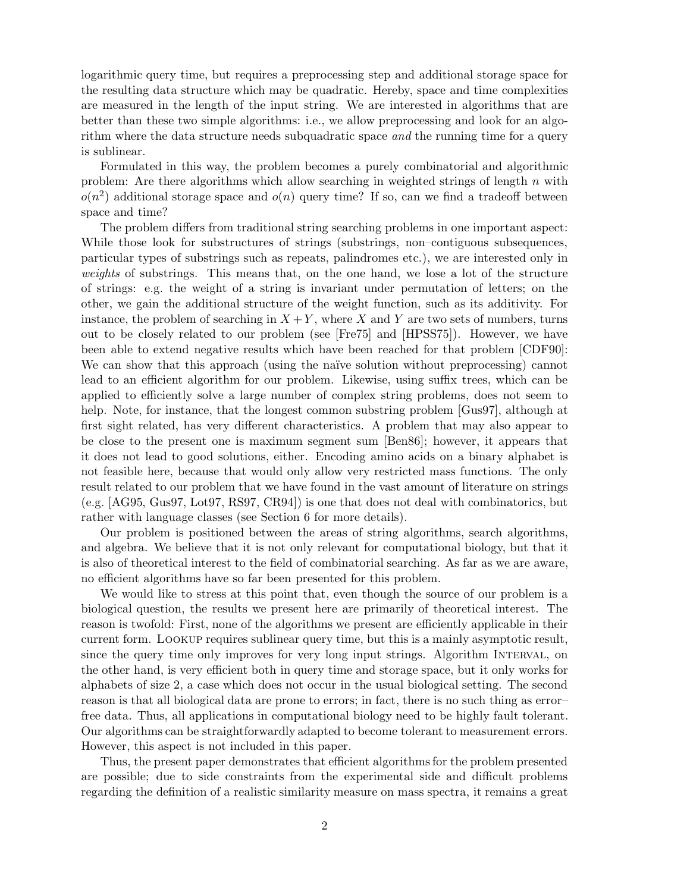logarithmic query time, but requires a preprocessing step and additional storage space for the resulting data structure which may be quadratic. Hereby, space and time complexities are measured in the length of the input string. We are interested in algorithms that are better than these two simple algorithms: i.e., we allow preprocessing and look for an algorithm where the data structure needs subquadratic space *and* the running time for a query is sublinear.

Formulated in this way, the problem becomes a purely combinatorial and algorithmic problem: Are there algorithms which allow searching in weighted strings of length  $n$  with  $o(n^2)$  additional storage space and  $o(n)$  query time? If so, can we find a tradeoff between space and time?

The problem differs from traditional string searching problems in one important aspect: While those look for substructures of strings (substrings, non–contiguous subsequences, particular types of substrings such as repeats, palindromes etc.), we are interested only in *weights* of substrings. This means that, on the one hand, we lose a lot of the structure of strings: e.g. the weight of a string is invariant under permutation of letters; on the other, we gain the additional structure of the weight function, such as its additivity. For instance, the problem of searching in  $X + Y$ , where X and Y are two sets of numbers, turns out to be closely related to our problem (see [Fre75] and [HPSS75]). However, we have been able to extend negative results which have been reached for that problem [CDF90]: We can show that this approach (using the naïve solution without preprocessing) cannot lead to an efficient algorithm for our problem. Likewise, using suffix trees, which can be applied to efficiently solve a large number of complex string problems, does not seem to help. Note, for instance, that the longest common substring problem [Gus97], although at first sight related, has very different characteristics. A problem that may also appear to be close to the present one is maximum segment sum [Ben86]; however, it appears that it does not lead to good solutions, either. Encoding amino acids on a binary alphabet is not feasible here, because that would only allow very restricted mass functions. The only result related to our problem that we have found in the vast amount of literature on strings (e.g. [AG95, Gus97, Lot97, RS97, CR94]) is one that does not deal with combinatorics, but rather with language classes (see Section 6 for more details).

Our problem is positioned between the areas of string algorithms, search algorithms, and algebra. We believe that it is not only relevant for computational biology, but that it is also of theoretical interest to the field of combinatorial searching. As far as we are aware, no efficient algorithms have so far been presented for this problem.

We would like to stress at this point that, even though the source of our problem is a biological question, the results we present here are primarily of theoretical interest. The reason is twofold: First, none of the algorithms we present are efficiently applicable in their current form. Lookup requires sublinear query time, but this is a mainly asymptotic result, since the query time only improves for very long input strings. Algorithm INTERVAL, on the other hand, is very efficient both in query time and storage space, but it only works for alphabets of size 2, a case which does not occur in the usual biological setting. The second reason is that all biological data are prone to errors; in fact, there is no such thing as error– free data. Thus, all applications in computational biology need to be highly fault tolerant. Our algorithms can be straightforwardly adapted to become tolerant to measurement errors. However, this aspect is not included in this paper.

Thus, the present paper demonstrates that efficient algorithms for the problem presented are possible; due to side constraints from the experimental side and difficult problems regarding the definition of a realistic similarity measure on mass spectra, it remains a great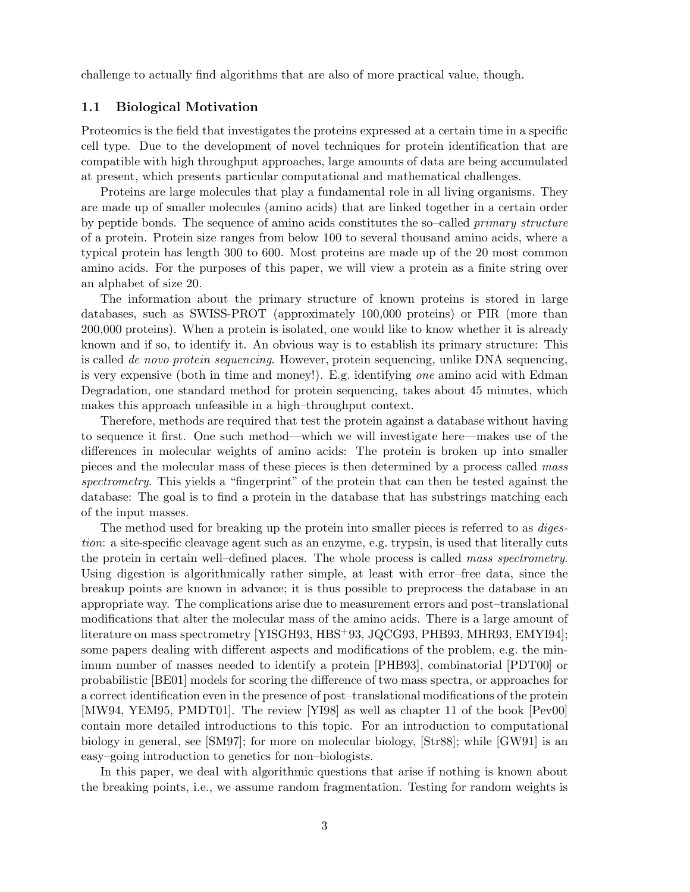challenge to actually find algorithms that are also of more practical value, though.

#### **1.1 Biological Motivation**

Proteomics is the field that investigates the proteins expressed at a certain time in a specific cell type. Due to the development of novel techniques for protein identification that are compatible with high throughput approaches, large amounts of data are being accumulated at present, which presents particular computational and mathematical challenges.

Proteins are large molecules that play a fundamental role in all living organisms. They are made up of smaller molecules (amino acids) that are linked together in a certain order by peptide bonds. The sequence of amino acids constitutes the so–called *primary structure* of a protein. Protein size ranges from below 100 to several thousand amino acids, where a typical protein has length 300 to 600. Most proteins are made up of the 20 most common amino acids. For the purposes of this paper, we will view a protein as a finite string over an alphabet of size 20.

The information about the primary structure of known proteins is stored in large databases, such as SWISS-PROT (approximately 100,000 proteins) or PIR (more than 200,000 proteins). When a protein is isolated, one would like to know whether it is already known and if so, to identify it. An obvious way is to establish its primary structure: This is called *de novo protein sequencing*. However, protein sequencing, unlike DNA sequencing, is very expensive (both in time and money!). E.g. identifying *one* amino acid with Edman Degradation, one standard method for protein sequencing, takes about 45 minutes, which makes this approach unfeasible in a high–throughput context.

Therefore, methods are required that test the protein against a database without having to sequence it first. One such method—which we will investigate here—makes use of the differences in molecular weights of amino acids: The protein is broken up into smaller pieces and the molecular mass of these pieces is then determined by a process called *mass spectrometry*. This yields a "fingerprint" of the protein that can then be tested against the database: The goal is to find a protein in the database that has substrings matching each of the input masses.

The method used for breaking up the protein into smaller pieces is referred to as *digestion*: a site-specific cleavage agent such as an enzyme, e.g. trypsin, is used that literally cuts the protein in certain well–defined places. The whole process is called *mass spectrometry*. Using digestion is algorithmically rather simple, at least with error–free data, since the breakup points are known in advance; it is thus possible to preprocess the database in an appropriate way. The complications arise due to measurement errors and post–translational modifications that alter the molecular mass of the amino acids. There is a large amount of literature on mass spectrometry [YISGH93, HBS+93, JQCG93, PHB93, MHR93, EMYI94]; some papers dealing with different aspects and modifications of the problem, e.g. the minimum number of masses needed to identify a protein [PHB93], combinatorial [PDT00] or probabilistic [BE01] models for scoring the difference of two mass spectra, or approaches for a correct identification even in the presence of post–translational modifications of the protein [MW94, YEM95, PMDT01]. The review [YI98] as well as chapter 11 of the book [Pev00] contain more detailed introductions to this topic. For an introduction to computational biology in general, see [SM97]; for more on molecular biology, [Str88]; while [GW91] is an easy–going introduction to genetics for non–biologists.

In this paper, we deal with algorithmic questions that arise if nothing is known about the breaking points, i.e., we assume random fragmentation. Testing for random weights is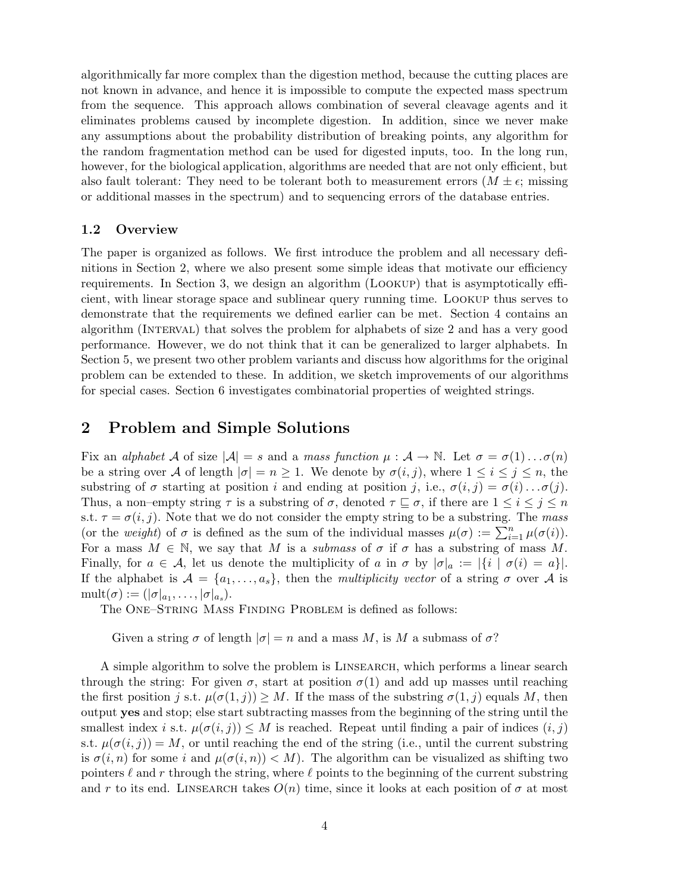algorithmically far more complex than the digestion method, because the cutting places are not known in advance, and hence it is impossible to compute the expected mass spectrum from the sequence. This approach allows combination of several cleavage agents and it eliminates problems caused by incomplete digestion. In addition, since we never make any assumptions about the probability distribution of breaking points, any algorithm for the random fragmentation method can be used for digested inputs, too. In the long run, however, for the biological application, algorithms are needed that are not only efficient, but also fault tolerant: They need to be tolerant both to measurement errors  $(M \pm \epsilon;$  missing or additional masses in the spectrum) and to sequencing errors of the database entries.

#### **1.2 Overview**

The paper is organized as follows. We first introduce the problem and all necessary definitions in Section 2, where we also present some simple ideas that motivate our efficiency requirements. In Section 3, we design an algorithm (Lookup) that is asymptotically efficient, with linear storage space and sublinear query running time. Lookup thus serves to demonstrate that the requirements we defined earlier can be met. Section 4 contains an algorithm (Interval) that solves the problem for alphabets of size 2 and has a very good performance. However, we do not think that it can be generalized to larger alphabets. In Section 5, we present two other problem variants and discuss how algorithms for the original problem can be extended to these. In addition, we sketch improvements of our algorithms for special cases. Section 6 investigates combinatorial properties of weighted strings.

### **2 Problem and Simple Solutions**

Fix an *alphabet* A of size  $|\mathcal{A}| = s$  and a *mass function*  $\mu : \mathcal{A} \to \mathbb{N}$ . Let  $\sigma = \sigma(1) \dots \sigma(n)$ be a string over A of length  $|\sigma| = n \geq 1$ . We denote by  $\sigma(i, j)$ , where  $1 \leq i \leq j \leq n$ , the substring of  $\sigma$  starting at position i and ending at position j, i.e.,  $\sigma(i, j) = \sigma(i) \dots \sigma(j)$ . Thus, a non–empty string  $\tau$  is a substring of  $\sigma$ , denoted  $\tau \sqsubseteq \sigma$ , if there are  $1 \leq i \leq j \leq n$ s.t.  $\tau = \sigma(i, j)$ . Note that we do not consider the empty string to be a substring. The *mass* (or the *weight*) of  $\sigma$  is defined as the sum of the individual masses  $\mu(\sigma) := \sum_{i=1}^{n} \mu(\sigma(i))$ .<br>For a mass  $M \in \mathbb{N}$  we say that M is a *submass* of  $\sigma$  if  $\sigma$  has a substring of mass M For a mass  $M \in \mathbb{N}$ , we say that M is a *submass* of  $\sigma$  if  $\sigma$  has a substring of mass M. Finally, for  $a \in \mathcal{A}$ , let us denote the multiplicity of a in  $\sigma$  by  $|\sigma|_a := |\{i \mid \sigma(i) = a\}|$ . If the alphabet is  $A = \{a_1, \ldots, a_s\}$ , then the *multiplicity vector* of a string  $\sigma$  over A is  $\text{mult}(\sigma) := (|\sigma|_{a_1}, \ldots, |\sigma|_{a_s}).$ 

The ONE–STRING MASS FINDING PROBLEM is defined as follows:

Given a string  $\sigma$  of length  $|\sigma| = n$  and a mass M, is M a submass of  $\sigma$ ?

A simple algorithm to solve the problem is Linsearch, which performs a linear search through the string: For given  $\sigma$ , start at position  $\sigma(1)$  and add up masses until reaching the first position j s.t.  $\mu(\sigma(1, j)) \geq M$ . If the mass of the substring  $\sigma(1, j)$  equals M, then output **yes** and stop; else start subtracting masses from the beginning of the string until the smallest index i s.t.  $\mu(\sigma(i, j)) \leq M$  is reached. Repeat until finding a pair of indices  $(i, j)$ s.t.  $\mu(\sigma(i, j)) = M$ , or until reaching the end of the string (i.e., until the current substring is  $\sigma(i, n)$  for some i and  $\mu(\sigma(i, n)) \leq M$ ). The algorithm can be visualized as shifting two pointers  $\ell$  and r through the string, where  $\ell$  points to the beginning of the current substring and r to its end. LINSEARCH takes  $O(n)$  time, since it looks at each position of  $\sigma$  at most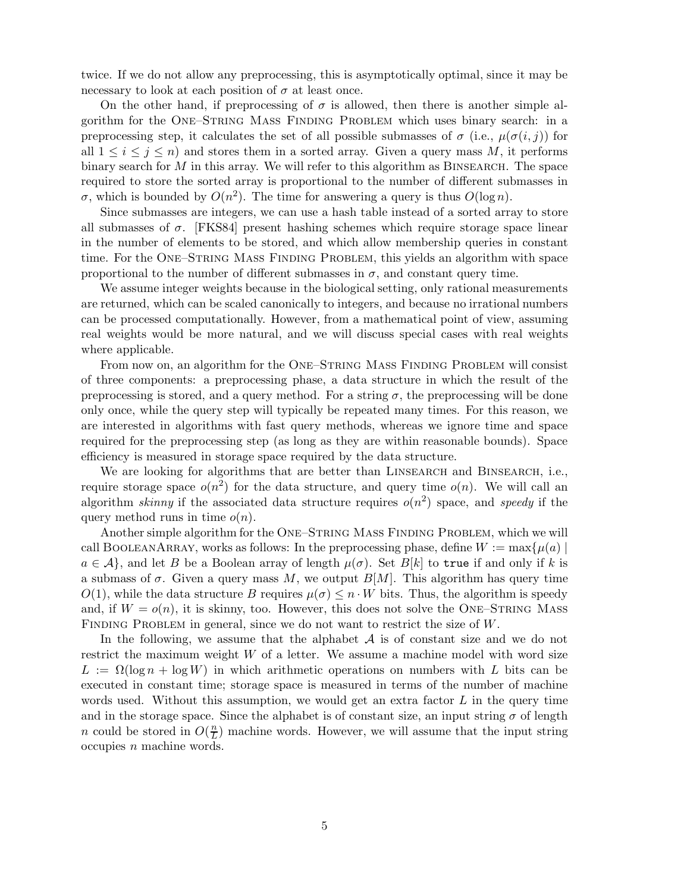twice. If we do not allow any preprocessing, this is asymptotically optimal, since it may be necessary to look at each position of  $\sigma$  at least once.

On the other hand, if preprocessing of  $\sigma$  is allowed, then there is another simple algorithm for the One–String Mass Finding Problem which uses binary search: in a preprocessing step, it calculates the set of all possible submasses of  $\sigma$  (i.e.,  $\mu(\sigma(i,j))$  for all  $1 \leq i \leq j \leq n$  and stores them in a sorted array. Given a query mass M, it performs binary search for  $M$  in this array. We will refer to this algorithm as BINSEARCH. The space required to store the sorted array is proportional to the number of different submasses in σ, which is bounded by  $O(n^2)$ . The time for answering a query is thus  $O(\log n)$ .

Since submasses are integers, we can use a hash table instead of a sorted array to store all submasses of  $\sigma$ . [FKS84] present hashing schemes which require storage space linear in the number of elements to be stored, and which allow membership queries in constant time. For the ONE–STRING MASS FINDING PROBLEM, this yields an algorithm with space proportional to the number of different submasses in  $\sigma$ , and constant query time.

We assume integer weights because in the biological setting, only rational measurements are returned, which can be scaled canonically to integers, and because no irrational numbers can be processed computationally. However, from a mathematical point of view, assuming real weights would be more natural, and we will discuss special cases with real weights where applicable.

From now on, an algorithm for the ONE–STRING MASS FINDING PROBLEM will consist of three components: a preprocessing phase, a data structure in which the result of the preprocessing is stored, and a query method. For a string  $\sigma$ , the preprocessing will be done only once, while the query step will typically be repeated many times. For this reason, we are interested in algorithms with fast query methods, whereas we ignore time and space required for the preprocessing step (as long as they are within reasonable bounds). Space efficiency is measured in storage space required by the data structure.

We are looking for algorithms that are better than LINSEARCH and BINSEARCH, i.e., require storage space  $o(n^2)$  for the data structure, and query time  $o(n)$ . We will call an algorithm *skinny* if the associated data structure requires  $o(n^2)$  space, and *speedy* if the query method runs in time  $o(n)$ .

Another simple algorithm for the One–String Mass Finding Problem, which we will call BOOLEANARRAY, works as follows: In the preprocessing phase, define  $W := \max\{\mu(a)$  $a \in \mathcal{A}$ , and let B be a Boolean array of length  $\mu(\sigma)$ . Set B[k] to true if and only if k is a submass of  $\sigma$ . Given a query mass M, we output  $B[M]$ . This algorithm has query time  $O(1)$ , while the data structure B requires  $\mu(\sigma) \leq n \cdot W$  bits. Thus, the algorithm is speedy and, if  $W = o(n)$ , it is skinny, too. However, this does not solve the ONE–STRING MASS FINDING PROBLEM in general, since we do not want to restrict the size of W.

In the following, we assume that the alphabet  $A$  is of constant size and we do not restrict the maximum weight  $W$  of a letter. We assume a machine model with word size  $L := \Omega(\log n + \log W)$  in which arithmetic operations on numbers with L bits can be executed in constant time; storage space is measured in terms of the number of machine words used. Without this assumption, we would get an extra factor  $L$  in the query time and in the storage space. Since the alphabet is of constant size, an input string  $\sigma$  of length *n* could be stored in  $O(\frac{n}{L})$  machine words. However, we will assume that the input string occupies n machine words.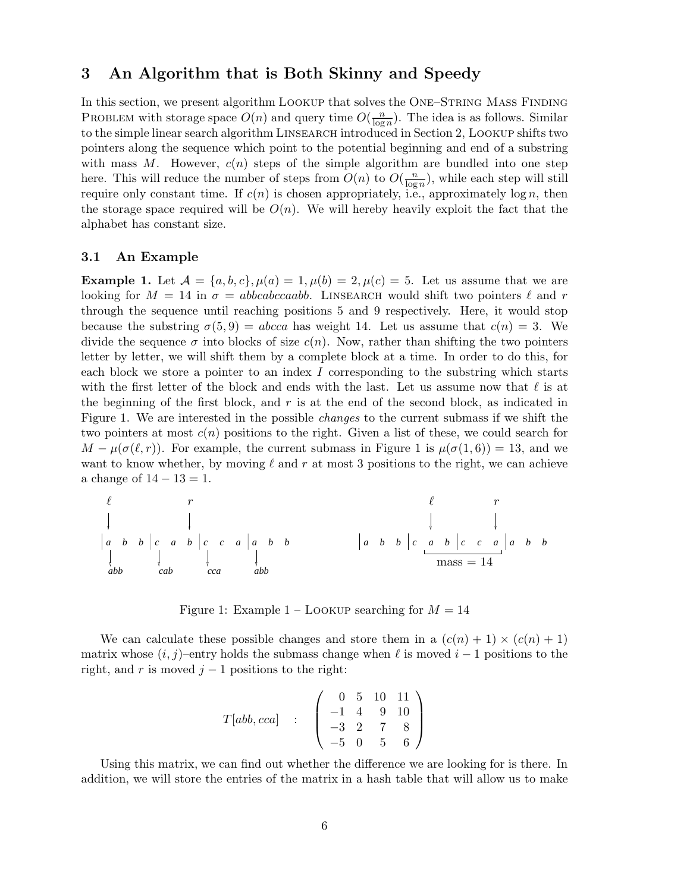## **3 An Algorithm that is Both Skinny and Speedy**

In this section, we present algorithm LOOKUP that solves the ONE–STRING MASS FINDING PROBLEM with storage space  $O(n)$  and query time  $O(\frac{n}{\log n})$ . The idea is as follows. Similar<br>to the simple linear search algorithm LINSEARCH introduced in Section 2. LOOKUP shifts two to the simple linear search algorithm Linsearch introduced in Section 2, Lookup shifts two pointers along the sequence which point to the potential beginning and end of a substring with mass M. However,  $c(n)$  steps of the simple algorithm are bundled into one step here. This will reduce the number of steps from  $O(n)$  to  $O(\frac{n}{\log n})$ , while each step will still<br>require only constant time. If  $c(n)$  is chosen appropriately i.e., approximately log n, then require only constant time. If  $c(n)$  is chosen appropriately, i.e., approximately log n, then the storage space required will be  $O(n)$ . We will hereby heavily exploit the fact that the alphabet has constant size.

#### **3.1 An Example**

**Example 1.** Let  $A = \{a, b, c\}, \mu(a) = 1, \mu(b) = 2, \mu(c) = 5$ . Let us assume that we are looking for  $M = 14$  in  $\sigma = abbcabcaabb$ . LINSEARCH would shift two pointers  $\ell$  and r through the sequence until reaching positions 5 and 9 respectively. Here, it would stop because the substring  $\sigma(5,9) = abcca$  has weight 14. Let us assume that  $c(n) = 3$ . We divide the sequence  $\sigma$  into blocks of size  $c(n)$ . Now, rather than shifting the two pointers letter by letter, we will shift them by a complete block at a time. In order to do this, for each block we store a pointer to an index I corresponding to the substring which starts with the first letter of the block and ends with the last. Let us assume now that  $\ell$  is at the beginning of the first block, and  $r$  is at the end of the second block, as indicated in Figure 1. We are interested in the possible *changes* to the current submass if we shift the two pointers at most  $c(n)$  positions to the right. Given a list of these, we could search for  $M - \mu(\sigma(\ell, r))$ . For example, the current submass in Figure 1 is  $\mu(\sigma(1, 6)) = 13$ , and we want to know whether, by moving  $\ell$  and r at most 3 positions to the right, we can achieve a change of  $14 - 13 = 1$ .

*abbcabccaabb cab cca abbcabccaabb abb abb* r r mass = 14

Figure 1: Example  $1 -$  LOOKUP searching for  $M = 14$ 

We can calculate these possible changes and store them in a  $(c(n) + 1) \times (c(n) + 1)$ matrix whose  $(i, j)$ –entry holds the submass change when  $\ell$  is moved  $i - 1$  positions to the right, and r is moved  $j-1$  positions to the right:

$$
T[abb, cca] : \begin{pmatrix} 0 & 5 & 10 & 11 \\ -1 & 4 & 9 & 10 \\ -3 & 2 & 7 & 8 \\ -5 & 0 & 5 & 6 \end{pmatrix}
$$

Using this matrix, we can find out whether the difference we are looking for is there. In addition, we will store the entries of the matrix in a hash table that will allow us to make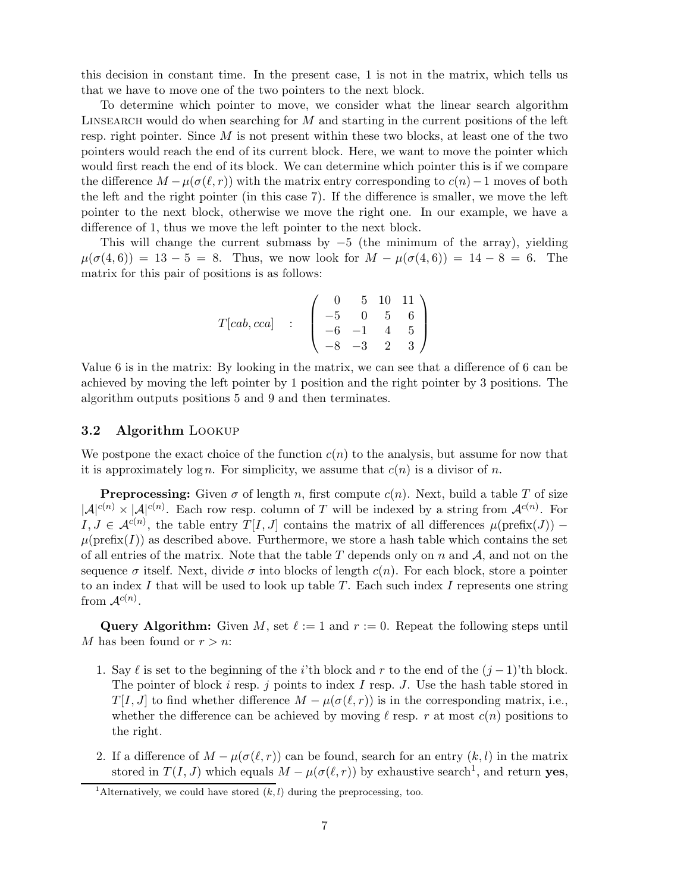this decision in constant time. In the present case, 1 is not in the matrix, which tells us that we have to move one of the two pointers to the next block.

To determine which pointer to move, we consider what the linear search algorithm Linsearch would do when searching for M and starting in the current positions of the left resp. right pointer. Since  $M$  is not present within these two blocks, at least one of the two pointers would reach the end of its current block. Here, we want to move the pointer which would first reach the end of its block. We can determine which pointer this is if we compare the difference  $M - \mu(\sigma(\ell, r))$  with the matrix entry corresponding to  $c(n) - 1$  moves of both the left and the right pointer (in this case 7). If the difference is smaller, we move the left pointer to the next block, otherwise we move the right one. In our example, we have a difference of 1, thus we move the left pointer to the next block.

This will change the current submass by  $-5$  (the minimum of the array), yielding  $\mu(\sigma(4,6)) = 13 - 5 = 8$ . Thus, we now look for  $M - \mu(\sigma(4,6)) = 14 - 8 = 6$ . The matrix for this pair of positions is as follows:

$$
T[cab, cca] : \begin{pmatrix} 0 & 5 & 10 & 11 \\ -5 & 0 & 5 & 6 \\ -6 & -1 & 4 & 5 \\ -8 & -3 & 2 & 3 \end{pmatrix}
$$

Value 6 is in the matrix: By looking in the matrix, we can see that a difference of 6 can be achieved by moving the left pointer by 1 position and the right pointer by 3 positions. The algorithm outputs positions 5 and 9 and then terminates.

#### **3.2 Algorithm** Lookup

We postpone the exact choice of the function  $c(n)$  to the analysis, but assume for now that it is approximately  $\log n$ . For simplicity, we assume that  $c(n)$  is a divisor of n.

**Preprocessing:** Given  $\sigma$  of length n, first compute  $c(n)$ . Next, build a table T of size  $|\mathcal{A}|^{c(n)} \times |\mathcal{A}|^{c(n)}$ . Each row resp. column of T will be indexed by a string from  $\mathcal{A}^{c(n)}$ . For  $I, J \in \mathcal{A}^{c(n)}$ , the table entry  $T[I, J]$  contains the matrix of all differences  $\mu(\text{prefix}(J))$  –  $\mu$ (prefix(I)) as described above. Furthermore, we store a hash table which contains the set of all entries of the matrix. Note that the table  $T$  depends only on  $n$  and  $A$ , and not on the sequence  $\sigma$  itself. Next, divide  $\sigma$  into blocks of length  $c(n)$ . For each block, store a pointer to an index I that will be used to look up table T. Each such index I represents one string from  $\mathcal{A}^{c(n)}$ .

**Query Algorithm:** Given M, set  $\ell := 1$  and  $r := 0$ . Repeat the following steps until M has been found or  $r > n$ :

- 1. Say  $\ell$  is set to the beginning of the i'th block and r to the end of the  $(j-1)$ 'th block. The pointer of block i resp. j points to index I resp. J. Use the hash table stored in  $T[I, J]$  to find whether difference  $M - \mu(\sigma(\ell, r))$  is in the corresponding matrix, i.e., whether the difference can be achieved by moving  $\ell$  resp. r at most  $c(n)$  positions to the right.
- 2. If a difference of  $M \mu(\sigma(\ell, r))$  can be found, search for an entry  $(k, l)$  in the matrix stored in  $T(I, J)$  which equals  $M - \mu(\sigma(\ell, r))$  by exhaustive search<sup>1</sup>, and return **yes**,

<sup>&</sup>lt;sup>1</sup>Alternatively, we could have stored  $(k, l)$  during the preprocessing, too.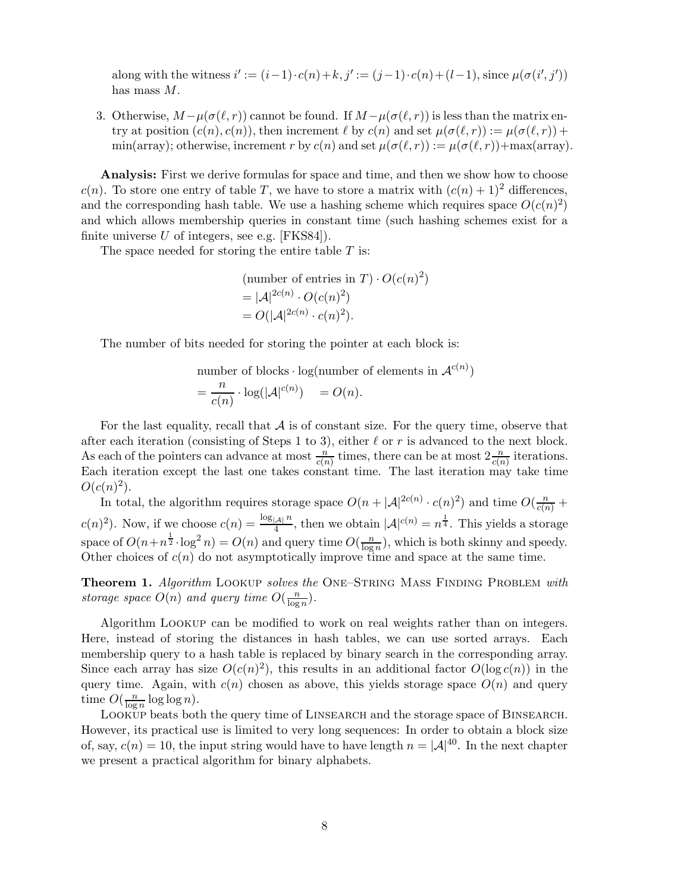along with the witness  $i' := (i-1) \cdot c(n) + k$ ,  $j' := (j-1) \cdot c(n) + (l-1)$ , since  $\mu(\sigma(i', j'))$ has mass M.

3. Otherwise,  $M-\mu(\sigma(\ell,r))$  cannot be found. If  $M-\mu(\sigma(\ell,r))$  is less than the matrix entry at position  $(c(n), c(n))$ , then increment  $\ell$  by  $c(n)$  and set  $\mu(\sigma(\ell, r)) := \mu(\sigma(\ell, r)) +$ min(array); otherwise, increment r by  $c(n)$  and set  $\mu(\sigma(\ell, r)) := \mu(\sigma(\ell, r)) + \max(\text{array}).$ 

**Analysis:** First we derive formulas for space and time, and then we show how to choose  $c(n)$ . To store one entry of table T, we have to store a matrix with  $(c(n) + 1)^2$  differences, and the corresponding hash table. We use a hashing scheme which requires space  $O(c(n)^2)$ and which allows membership queries in constant time (such hashing schemes exist for a finite universe  $U$  of integers, see e.g. [FKS84]).

The space needed for storing the entire table  $T$  is:

(number of entries in 
$$
T
$$
)  $\cdot O(c(n)^2)$   
=  $|\mathcal{A}|^{2c(n)} \cdot O(c(n)^2)$   
=  $O(|\mathcal{A}|^{2c(n)} \cdot c(n)^2)$ .

The number of bits needed for storing the pointer at each block is:

number of blocks  $\cdot$  log(number of elements in  $\mathcal{A}^{c(n)}$ )

$$
= \frac{n}{c(n)} \cdot \log(|\mathcal{A}|^{c(n)}) = O(n).
$$

For the last equality, recall that  $A$  is of constant size. For the query time, observe that after each iteration (consisting of Steps 1 to 3), either  $\ell$  or r is advanced to the next block. As each of the pointers can advance at most  $\frac{n}{c(n)}$  times, there can be at most  $2\frac{n}{c(n)}$  iterations.<br>Each iteration except the last one takes constant time. The last iteration may take time Each iteration except the last one takes constant time. The last iteration may take time  $O(c(n)^{2})$ .

In total, the algorithm requires storage space  $O(n + |\mathcal{A}|^{2c(n)} \cdot c(n)^2)$  and time  $O(\frac{n}{c(n)} +$  $c(n)^2$ ). Now, if we choose  $c(n) = \frac{\log_{|A|} n}{4}$ , then we obtain  $|A|^{c(n)} = n^{\frac{1}{4}}$ . This yields a storage space of  $O(n+n^{\frac{1}{2}} \cdot \log^2 n) = O(n)$  and query time  $O(\frac{n}{\log n})$ , which is both skinny and speedy.<br>Other choices of  $c(n)$  do not asymptotically improve time and space at the same time Other choices of  $c(n)$  do not asymptotically improve time and space at the same time.

**Theorem 1.** *Algorithm* Lookup *solves the* One–String Mass Finding Problem *with storage space*  $O(n)$  *and query time*  $O(\frac{n}{\log n})$ *.* 

Algorithm Lookup can be modified to work on real weights rather than on integers. Here, instead of storing the distances in hash tables, we can use sorted arrays. Each membership query to a hash table is replaced by binary search in the corresponding array. Since each array has size  $O(c(n)^2)$ , this results in an additional factor  $O(\log c(n))$  in the query time. Again, with  $c(n)$  chosen as above, this yields storage space  $O(n)$  and query time  $O(\frac{n}{\log n} \log \log n)$ .<br>LOOKUP beats bot

Lookup beats both the query time of Linsearch and the storage space of Binsearch. However, its practical use is limited to very long sequences: In order to obtain a block size of, say,  $c(n) = 10$ , the input string would have to have length  $n = |\mathcal{A}|^{40}$ . In the next chapter we present a practical algorithm for binary alphabets.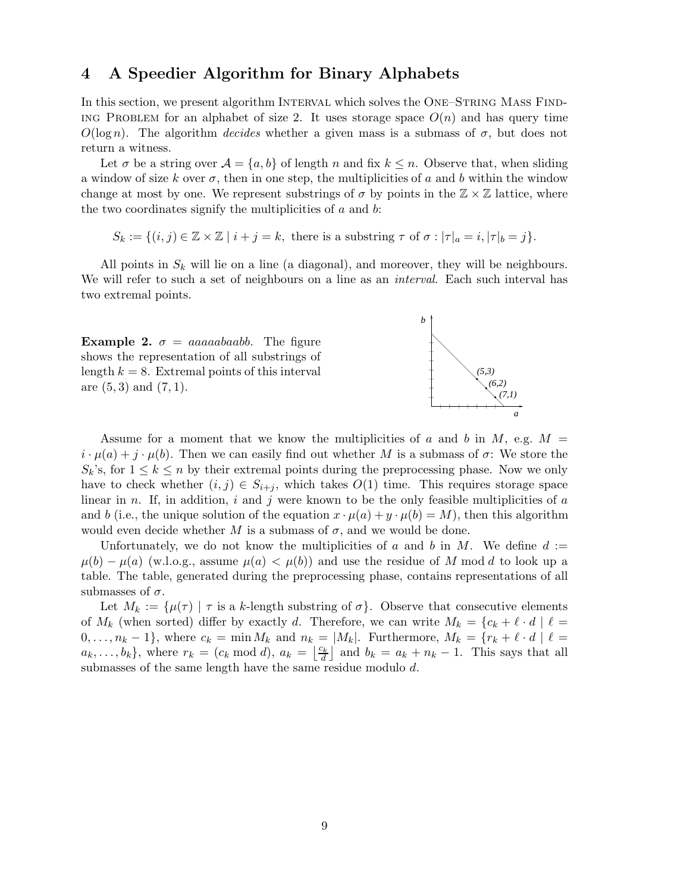## **4 A Speedier Algorithm for Binary Alphabets**

In this section, we present algorithm INTERVAL which solves the ONE–STRING MASS FIND-ING PROBLEM for an alphabet of size 2. It uses storage space  $O(n)$  and has query time  $O(\log n)$ . The algorithm *decides* whether a given mass is a submass of  $\sigma$ , but does not return a witness.

Let  $\sigma$  be a string over  $\mathcal{A} = \{a, b\}$  of length n and fix  $k \leq n$ . Observe that, when sliding a window of size k over  $\sigma$ , then in one step, the multiplicities of a and b within the window change at most by one. We represent substrings of  $\sigma$  by points in the  $\mathbb{Z} \times \mathbb{Z}$  lattice, where the two coordinates signify the multiplicities of  $a$  and  $b$ :

 $S_k := \{(i, j) \in \mathbb{Z} \times \mathbb{Z} \mid i + j = k, \text{ there is a substring } \tau \text{ of } \sigma : |\tau|_a = i, |\tau|_b = j\}.$ 

All points in  $S_k$  will lie on a line (a diagonal), and moreover, they will be neighbours. We will refer to such a set of neighbours on a line as an *interval*. Each such interval has two extremal points.

**Example 2.**  $\sigma = aaaaabaab$ . The figure shows the representation of all substrings of length  $k = 8$ . Extremal points of this interval are  $(5, 3)$  and  $(7, 1)$ .



Assume for a moment that we know the multiplicities of a and b in M, e.g.  $M =$  $i \cdot \mu(a) + j \cdot \mu(b)$ . Then we can easily find out whether M is a submass of  $\sigma$ : We store the  $S_k$ 's, for  $1 \leq k \leq n$  by their extremal points during the preprocessing phase. Now we only have to check whether  $(i, j) \in S_{i+j}$ , which takes  $O(1)$  time. This requires storage space linear in n. If, in addition,  $i$  and  $j$  were known to be the only feasible multiplicities of  $a$ and b (i.e., the unique solution of the equation  $x \cdot \mu(a) + y \cdot \mu(b) = M$ ), then this algorithm would even decide whether M is a submass of  $\sigma$ , and we would be done.

Unfortunately, we do not know the multiplicities of a and b in M. We define  $d :=$  $\mu(b) - \mu(a)$  (w.l.o.g., assume  $\mu(a) < \mu(b)$ ) and use the residue of M mod d to look up a table. The table, generated during the preprocessing phase, contains representations of all submasses of  $\sigma$ .

Let  $M_k := \{ \mu(\tau) \mid \tau \text{ is a } k\text{-length substring of } \sigma \}.$  Observe that consecutive elements of  $M_k$  (when sorted) differ by exactly d. Therefore, we can write  $M_k = \{c_k + \ell \cdot d \mid \ell =$  $0,\ldots,n_k-1\}$ , where  $c_k = \min M_k$  and  $n_k = |M_k|$ . Furthermore,  $M_k = \{r_k + \ell \cdot d \mid \ell = 1\}$  $a_k, \ldots, b_k$ , where  $r_k = (c_k \mod d), a_k = \lfloor \frac{c_k}{d} \rfloor$  and  $b_k = a_k + n_k - 1$ . This says that all submasses of the same length have the same residue modulo d.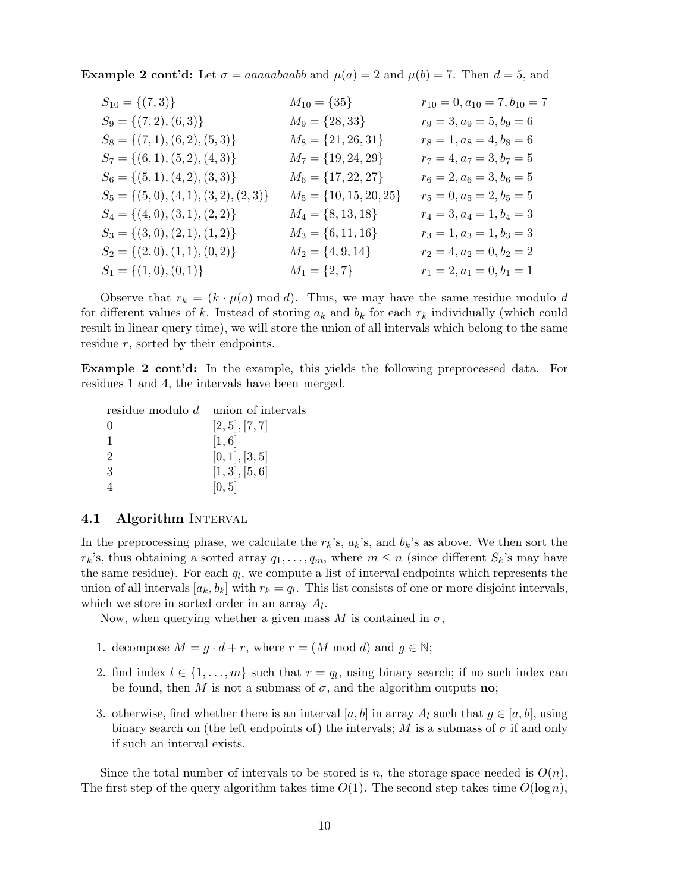**Example 2 cont'd:** Let  $\sigma = aaaaabaab$  and  $\mu(a) = 2$  and  $\mu(b) = 7$ . Then  $d = 5$ , and

| $S_{10} = \{(7,3)\}\;$                  | $M_{10} = \{35\}$          | $r_{10} = 0, a_{10} = 7, b_{10} = 7$ |
|-----------------------------------------|----------------------------|--------------------------------------|
| $S_9 = \{(7,2), (6,3)\}\$               | $M_9 = \{28, 33\}$         | $r_9 = 3, a_9 = 5, b_9 = 6$          |
| $S_8 = \{(7,1), (6,2), (5,3)\}\$        | $M_8 = \{21, 26, 31\}$     | $r_8 = 1, a_8 = 4, b_8 = 6$          |
| $S_7 = \{(6,1), (5,2), (4,3)\}\$        | $M_7 = \{19, 24, 29\}$     | $r_7 = 4, a_7 = 3, b_7 = 5$          |
| $S_6 = \{(5,1), (4,2), (3,3)\}\$        | $M_6 = \{17, 22, 27\}$     | $r_6 = 2, a_6 = 3, b_6 = 5$          |
| $S_5 = \{(5,0), (4,1), (3,2), (2,3)\}\$ | $M_5 = \{10, 15, 20, 25\}$ | $r_5 = 0, a_5 = 2, b_5 = 5$          |
| $S_4 = \{(4,0), (3,1), (2,2)\}\$        | $M_4 = \{8, 13, 18\}$      | $r_4 = 3, a_4 = 1, b_4 = 3$          |
| $S_3 = \{(3,0), (2,1), (1,2)\}\$        | $M_3 = \{6, 11, 16\}$      | $r_3 = 1, a_3 = 1, b_3 = 3$          |
| $S_2 = \{(2,0), (1,1), (0,2)\}\$        | $M_2 = \{4, 9, 14\}$       | $r_2 = 4, a_2 = 0, b_2 = 2$          |
| $S_1 = \{(1,0), (0,1)\}\$               | $M_1 = \{2, 7\}$           | $r_1 = 2, a_1 = 0, b_1 = 1$          |
|                                         |                            |                                      |

Observe that  $r_k = (k \cdot \mu(a) \mod d)$ . Thus, we may have the same residue modulo d for different values of k. Instead of storing  $a_k$  and  $b_k$  for each  $r_k$  individually (which could result in linear query time), we will store the union of all intervals which belong to the same residue r, sorted by their endpoints.

**Example 2 cont'd:** In the example, this yields the following preprocessed data. For residues 1 and 4, the intervals have been merged.

|                             | residue modulo $d$ union of intervals |
|-----------------------------|---------------------------------------|
| $\mathbf{0}$                | [2, 5], [7, 7]                        |
| $\mathbf{1}$                | [1, 6]                                |
| $\mathcal{D}_{\mathcal{L}}$ | [0, 1], [3, 5]                        |
| 3                           | [1,3], [5,6]                          |
|                             | [0, 5]                                |

#### 4.1 Algorithm INTERVAL

In the preprocessing phase, we calculate the  $r_k$ 's,  $a_k$ 's, and  $b_k$ 's as above. We then sort the  $r_k$ 's, thus obtaining a sorted array  $q_1, \ldots, q_m$ , where  $m \leq n$  (since different  $S_k$ 's may have the same residue). For each  $q_l$ , we compute a list of interval endpoints which represents the union of all intervals  $[a_k, b_k]$  with  $r_k = q_l$ . This list consists of one or more disjoint intervals, which we store in sorted order in an array  $A_l$ .

Now, when querying whether a given mass M is contained in  $\sigma$ ,

- 1. decompose  $M = g \cdot d + r$ , where  $r = (M \mod d)$  and  $g \in \mathbb{N}$ ;
- 2. find index  $l \in \{1, \ldots, m\}$  such that  $r = q_l$ , using binary search; if no such index can be found, then M is not a submass of  $\sigma$ , and the algorithm outputs **no**;
- 3. otherwise, find whether there is an interval [a, b] in array  $A_l$  such that  $g \in [a, b]$ , using binary search on (the left endpoints of) the intervals; M is a submass of  $\sigma$  if and only if such an interval exists.

Since the total number of intervals to be stored is n, the storage space needed is  $O(n)$ . The first step of the query algorithm takes time  $O(1)$ . The second step takes time  $O(\log n)$ ,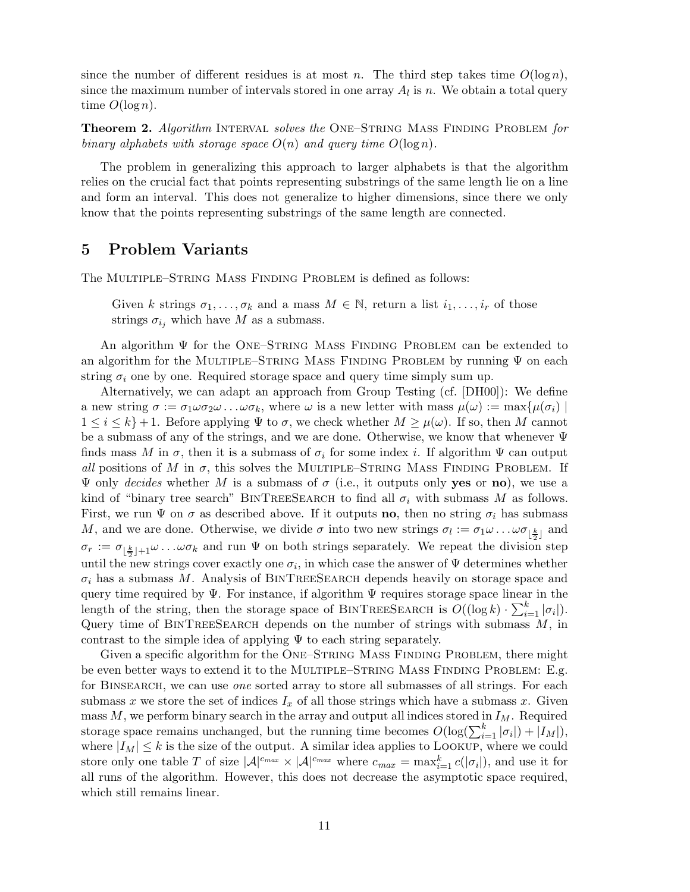since the number of different residues is at most n. The third step takes time  $O(\log n)$ , since the maximum number of intervals stored in one array  $A<sub>l</sub>$  is n. We obtain a total query time  $O(\log n)$ .

**Theorem 2.** *Algorithm* Interval *solves the* One–String Mass Finding Problem *for binary alphabets with storage space*  $O(n)$  *and query time*  $O(\log n)$ *.* 

The problem in generalizing this approach to larger alphabets is that the algorithm relies on the crucial fact that points representing substrings of the same length lie on a line and form an interval. This does not generalize to higher dimensions, since there we only know that the points representing substrings of the same length are connected.

## **5 Problem Variants**

The Multiple–String Mass Finding Problem is defined as follows:

Given k strings  $\sigma_1,\ldots,\sigma_k$  and a mass  $M \in \mathbb{N}$ , return a list  $i_1,\ldots,i_r$  of those strings  $\sigma_{i_j}$  which have M as a submass.

An algorithm Ψ for the One–String Mass Finding Problem can be extended to an algorithm for the MULTIPLE–STRING MASS FINDING PROBLEM by running  $\Psi$  on each string  $\sigma_i$  one by one. Required storage space and query time simply sum up.

Alternatively, we can adapt an approach from Group Testing (cf. [DH00]): We define a new string  $\sigma := \sigma_1 \omega \sigma_2 \omega \ldots \omega \sigma_k$ , where  $\omega$  is a new letter with mass  $\mu(\omega) := \max{\{\mu(\sigma_i)\}}$  $1 \leq i \leq k$  + 1. Before applying  $\Psi$  to  $\sigma$ , we check whether  $M \geq \mu(\omega)$ . If so, then M cannot be a submass of any of the strings, and we are done. Otherwise, we know that whenever Ψ finds mass M in  $\sigma$ , then it is a submass of  $\sigma_i$  for some index i. If algorithm  $\Psi$  can output *all* positions of M in  $\sigma$ , this solves the MULTIPLE–STRING MASS FINDING PROBLEM. If  $\Psi$  only *decides* whether M is a submass of  $\sigma$  (i.e., it outputs only **yes** or **no**), we use a kind of "binary tree search" BINTREESEARCH to find all  $\sigma_i$  with submass M as follows. First, we run  $\Psi$  on  $\sigma$  as described above. If it outputs **no**, then no string  $\sigma_i$  has submass M, and we are done. Otherwise, we divide  $\sigma$  into two new strings  $\sigma_l := \sigma_1 \omega \dots \omega \sigma_{\lfloor \frac{k}{2} \rfloor}$  and  $\sigma_r := \sigma_{\lfloor \frac{k}{2} \rfloor + 1} \omega \dots \omega \sigma_k$  and run  $\Psi$  on both strings separately. We repeat the division step<br>until the new strings separately and run which assation assume of II determines what has until the new strings cover exactly one  $\sigma_i$ , in which case the answer of  $\Psi$  determines whether  $\sigma_i$  has a submass M. Analysis of BINTREESEARCH depends heavily on storage space and query time required by  $\Psi$ . For instance, if algorithm  $\Psi$  requires storage space linear in the length of the string, then the storage space of BINTREESEARCH is  $O((\log k) \cdot \sum_{i=1}^{k} |\sigma_i|)$ .<br>Overy time of BINTREESEARCH depends on the number of strings with submass M, in Query time of BINTREESEARCH depends on the number of strings with submass  $M$ , in contrast to the simple idea of applying  $\Psi$  to each string separately.

Given a specific algorithm for the ONE–STRING MASS FINDING PROBLEM, there might be even better ways to extend it to the MULTIPLE–STRING MASS FINDING PROBLEM: E.g. for Binsearch, we can use *one* sorted array to store all submasses of all strings. For each submass x we store the set of indices  $I_x$  of all those strings which have a submass x. Given mass  $M$ , we perform binary search in the array and output all indices stored in  $I_M$ . Required storage space remains unchanged, but the running time becomes  $O(log(\sum_{i=1}^{k} |\sigma_i|) + |I_M|)$ , where  $|I_M| \leq k$  is the size of the output. A similar idea applies to LOOKUP, where we could store only one table T of size  $|\mathcal{A}|^{c_{max}} \times |\mathcal{A}|^{c_{max}}$  where  $c_{max} = \max_{i=1}^k c(|\sigma_i|)$ , and use it for all runs of the algorithm. However, this does not decrease the asymptotic space required, which still remains linear.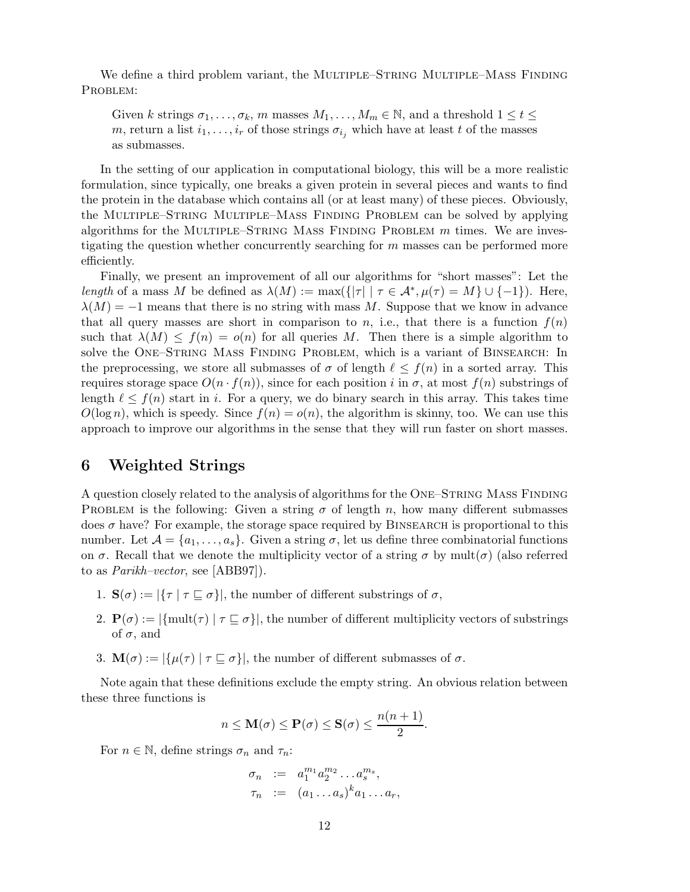We define a third problem variant, the MULTIPLE–STRING MULTIPLE–MASS FINDING PROBLEM:

Given k strings  $\sigma_1,\ldots,\sigma_k$ , m masses  $M_1,\ldots,M_m \in \mathbb{N}$ , and a threshold  $1 \leq t \leq$ m, return a list  $i_1, \ldots, i_r$  of those strings  $\sigma_{i_j}$  which have at least t of the masses as submasses.

In the setting of our application in computational biology, this will be a more realistic formulation, since typically, one breaks a given protein in several pieces and wants to find the protein in the database which contains all (or at least many) of these pieces. Obviously, the Multiple–String Multiple–Mass Finding Problem can be solved by applying algorithms for the MULTIPLE–STRING MASS FINDING PROBLEM  $m$  times. We are investigating the question whether concurrently searching for  $m$  masses can be performed more efficiently.

Finally, we present an improvement of all our algorithms for "short masses": Let the *length* of a mass M be defined as  $\lambda(M) := \max(\{|\tau| \mid \tau \in \mathcal{A}^*, \mu(\tau) = M\} \cup \{-1\}).$  Here,  $\lambda(M) = -1$  means that there is no string with mass M. Suppose that we know in advance that all query masses are short in comparison to n, i.e., that there is a function  $f(n)$ such that  $\lambda(M) \leq f(n) = o(n)$  for all queries M. Then there is a simple algorithm to solve the One–String Mass Finding Problem, which is a variant of Binsearch: In the preprocessing, we store all submasses of  $\sigma$  of length  $\ell \leq f(n)$  in a sorted array. This requires storage space  $O(n \cdot f(n))$ , since for each position i in  $\sigma$ , at most  $f(n)$  substrings of length  $\ell \leq f(n)$  start in i. For a query, we do binary search in this array. This takes time  $O(\log n)$ , which is speedy. Since  $f(n) = o(n)$ , the algorithm is skinny, too. We can use this approach to improve our algorithms in the sense that they will run faster on short masses.

## **6 Weighted Strings**

A question closely related to the analysis of algorithms for the ONE–STRING MASS FINDING PROBLEM is the following: Given a string  $\sigma$  of length n, how many different submasses does  $\sigma$  have? For example, the storage space required by BINSEARCH is proportional to this number. Let  $\mathcal{A} = \{a_1, \ldots, a_s\}$ . Given a string  $\sigma$ , let us define three combinatorial functions on  $\sigma$ . Recall that we denote the multiplicity vector of a string  $\sigma$  by mult $(\sigma)$  (also referred to as *Parikh–vector*, see [ABB97]).

- 1. **S**( $\sigma$ ) :=  $|\{\tau | \tau \subseteq \sigma\}|$ , the number of different substrings of  $\sigma$ ,
- 2.  $P(\sigma) := |\{\text{mult}(\tau) \mid \tau \sqsubseteq \sigma\}|$ , the number of different multiplicity vectors of substrings of  $\sigma$ , and
- 3.  $\mathbf{M}(\sigma) := |\{\mu(\tau) \mid \tau \sqsubseteq \sigma\}|$ , the number of different submasses of  $\sigma$ .

Note again that these definitions exclude the empty string. An obvious relation between these three functions is

$$
n \leq \mathbf{M}(\sigma) \leq \mathbf{P}(\sigma) \leq \mathbf{S}(\sigma) \leq \frac{n(n+1)}{2}.
$$

For  $n \in \mathbb{N}$ , define strings  $\sigma_n$  and  $\tau_n$ :

$$
\sigma_n \quad := \quad a_1^{m_1} a_2^{m_2} \dots a_s^{m_s},
$$
\n
$$
\tau_n \quad := \quad (a_1 \dots a_s)^k a_1 \dots a_r,
$$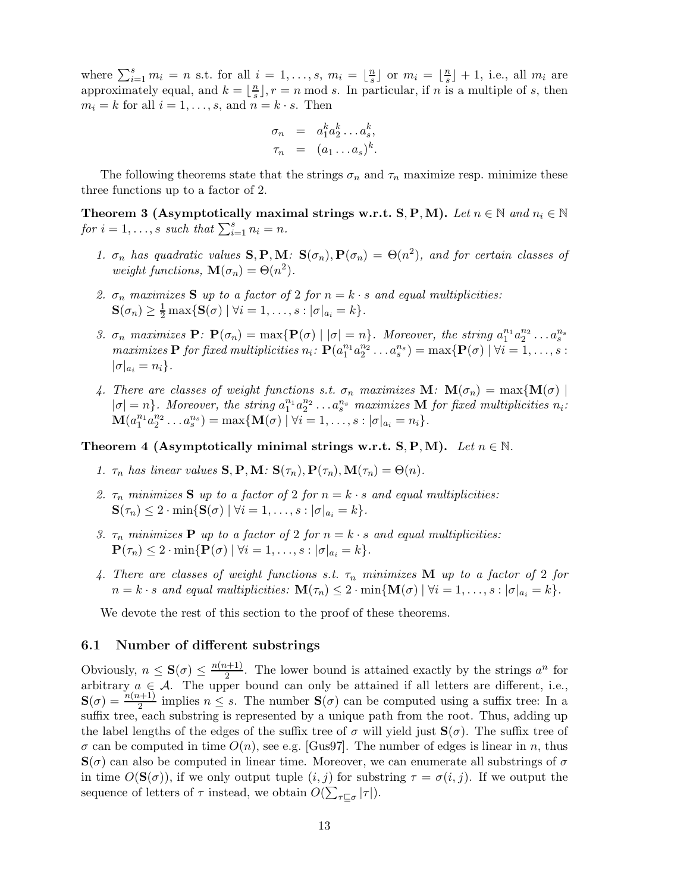where  $\sum_{i=1}^{s} m_i = n$  s.t. for all  $i = 1, ..., s$ ,  $m_i = \lfloor \frac{n}{s} \rfloor$  or  $m_i = \lfloor \frac{n}{s} \rfloor + 1$ , i.e., all  $m_i$  are approximately equal, and  $k = \lfloor \frac{n}{s} \rfloor$ ,  $r = n \mod s$ . In particular, if n is a multiple of s, then  $m_i = k$  for all  $i = 1, \ldots, s$ , and  $n = k \cdot s$ . Then

$$
\sigma_n = a_1^k a_2^k \dots a_s^k,
$$
  

$$
\tau_n = (a_1 \dots a_s)^k.
$$

The following theorems state that the strings  $\sigma_n$  and  $\tau_n$  maximize resp. minimize these three functions up to a factor of 2.

**Theorem 3 (Asymptotically maximal strings w.r.t.**  $S$ **,**  $P$ **,**  $M$ **).** Let  $n \in \mathbb{N}$  and  $n_i \in \mathbb{N}$ *for*  $i = 1, ..., s$  *such that*  $\sum_{i=1}^{s} n_i = n$ *.* 

- *1.*  $\sigma_n$  *has quadratic values* **S**, **P**, **M***:* **S**( $\sigma_n$ ), **P**( $\sigma_n$ ) =  $\Theta(n^2)$ *, and for certain classes of weight functions,*  $\mathbf{M}(\sigma_n) = \Theta(n^2)$ .
- 2.  $\sigma_n$  *maximizes* **S** *up to a factor of* 2 *for*  $n = k \cdot s$  *and equal multiplicities:* **S**( $\sigma_n$ )  $\geq \frac{1}{2} \max \{ \mathbf{S}(\sigma) \mid \forall i = 1, ..., s : |\sigma|_{a_i} = k \}.$
- 3.  $\sigma_n$  maximizes  $\mathbf{P}$ :  $\mathbf{P}(\sigma_n) = \max{\{\mathbf{P}(\sigma) \mid |\sigma| = n\}}$ . Moreover, the string  $a_1^{n_1} a_2^{n_2} \dots a_s^{n_s}$ <br>maximizes  $\mathbf{P}$  for fixed multiplicities  $n_i$ :  $\mathbf{P}(a_1^{n_1} a_2^{n_2} \dots a_s^{n_s}) = \max{\{\mathbf{P}(\sigma) \mid \forall i = 1, \dots, s :$  $|\sigma|_{a_i} = n_i$ .
- 4. There are classes of weight functions s.t.  $\sigma_n$  maximizes  $\mathbf{M}$ :  $\mathbf{M}(\sigma_n) = \max\{\mathbf{M}(\sigma)\}$  $|\sigma| = n$ . Moreover, the string  $a_1^{n_1} a_2^{n_2} \dots a_s^{n_s}$  maximizes **M** for fixed multiplicities  $n_i$ .<br>  $\mathbf{M}(a^{n_1} a^{n_2} \dots a^{n_s}) = \max_{\mathbf{M}(\sigma) \cup \mathcal{M}(\sigma) \cup \mathcal{M}(\sigma)} |\mathcal{M}(\sigma)| = n$ .  $\mathbf{M}(a_1^{n_1} a_2^{n_2} \dots a_s^{n_s}) = \max \{ \mathbf{M}(\sigma) \mid \forall i = 1, \dots, s : |\sigma|_{a_i} = n_i \}.$

#### **Theorem 4 (Asymptotically minimal strings w.r.t.**  $S, P, M$ **).** Let  $n \in \mathbb{N}$ .

- *1.*  $\tau_n$  has linear values **S**, **P**, **M***:* **S**( $\tau_n$ ), **P**( $\tau_n$ ), **M**( $\tau_n$ ) =  $\Theta(n)$ *.*
- 2.  $\tau_n$  *minimizes* **S** *up to a factor of* 2 *for*  $n = k \cdot s$  *and equal multiplicities:* **S**( $\tau_n$ )  $\leq 2 \cdot \min\{S(\sigma) \mid \forall i = 1, ..., s : |\sigma|_{a_i} = k\}.$
- *3.*  $\tau_n$  *minimizes* **P** *up to a factor of* 2 *for*  $n = k \cdot s$  *and equal multiplicities:*  $\mathbf{P}(\tau_n) \leq 2 \cdot \min\{\mathbf{P}(\sigma) \mid \forall i = 1,\ldots,s : |\sigma|_{a_i} = k\}.$
- *4. There are classes of weight functions s.t.* τn *minimizes* **M** *up to a factor of* 2 *for*  $n = k \cdot s$  *and equal multiplicities:*  $\mathbf{M}(\tau_n) \leq 2 \cdot \min\{\mathbf{M}(\sigma) \mid \forall i = 1,\ldots,s : |\sigma|_{a_i} = k\}.$

We devote the rest of this section to the proof of these theorems.

#### **6.1 Number of different substrings**

Obviously,  $n \leq S(\sigma) \leq \frac{n(n+1)}{2}$ . The lower bound is attained exactly by the strings  $a^n$  for arbitrary  $a \in A$ . The upper bound can only be attained if all letters are different i.e. arbitrary  $a \in \mathcal{A}$ . The upper bound can only be attained if all letters are different, i.e., **S**( $\sigma$ ) =  $\frac{n(n+1)}{2}$  implies  $n \leq s$ . The number **S**( $\sigma$ ) can be computed using a suffix tree: In a suffix tree each substring is represented by a unique path from the root. Thus, adding up suffix tree, each substring is represented by a unique path from the root. Thus, adding up the label lengths of the edges of the suffix tree of  $\sigma$  will yield just  $\mathbf{S}(\sigma)$ . The suffix tree of  $\sigma$  can be computed in time  $O(n)$ , see e.g. [Gus97]. The number of edges is linear in n, thus  $\mathbf{S}(\sigma)$  can also be computed in linear time. Moreover, we can enumerate all substrings of  $\sigma$ in time  $O(S(\sigma))$ , if we only output tuple  $(i, j)$  for substring  $\tau = \sigma(i, j)$ . If we output the sequence of letters of  $\tau$  instead, we obtain  $O(\sum_{\tau \sqsubseteq \sigma} |\tau|)$ .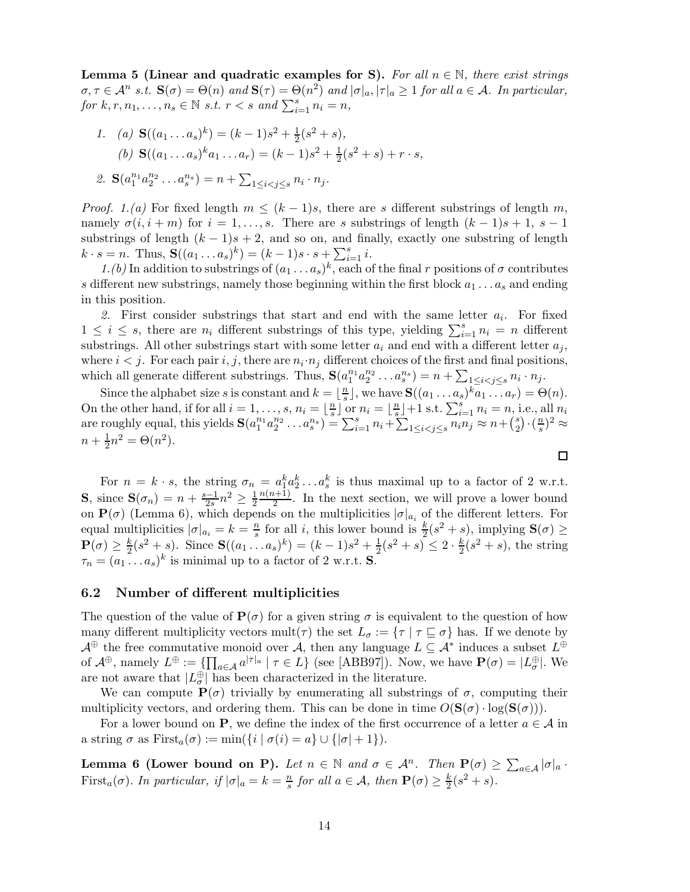**Lemma 5 (Linear and quadratic examples for S).** *For all*  $n \in \mathbb{N}$ *, there exist strings*  $\sigma, \tau \in \mathcal{A}^n$  *s.t.*  $\mathbf{S}(\sigma) = \Theta(n)$  and  $\mathbf{S}(\tau) = \Theta(n^2)$  and  $|\sigma|_a, |\tau|_a \geq 1$  for all  $a \in \mathcal{A}$ *. In particular, for*  $k, r, n_1, \ldots, n_s \in \mathbb{N} \text{ s.t. } r < s \text{ and } \sum_{i=1}^s n_i = n,$ 

1. (a) 
$$
\mathbf{S}((a_1 \dots a_s)^k) = (k-1)s^2 + \frac{1}{2}(s^2 + s),
$$
  
\n(b)  $\mathbf{S}((a_1 \dots a_s)^k a_1 \dots a_r) = (k-1)s^2 + \frac{1}{2}(s^2 + s) + r \cdot s,$   
\n2.  $\mathbf{S}(a_1^{n_1} a_2^{n_2} \dots a_s^{n_s}) = n + \sum_{1 \leq i < j \leq s} n_i \cdot n_j.$ 

*Proof.* 1.(a) For fixed length  $m \leq (k-1)s$ , there are s different substrings of length m, namely  $\sigma(i, i + m)$  for  $i = 1, \ldots, s$ . There are s substrings of length  $(k - 1)s + 1$ ,  $s - 1$ substrings of length  $(k - 1)s + 2$ , and so on, and finally, exactly one substring of length  $k \cdot s = n$ . Thus,  $\mathbf{S}((a_1 \dots a_s)^k) = (k-1)s \cdot s + \sum_{i=1}^s i$ .<br>1 (b) In addition to substrings of  $(a_1, a_2)^k$  and get get

*1.(b)* In addition to substrings of  $(a_1 \ldots a_s)^k$ , each of the final r positions of  $\sigma$  contributes s different new substrings, namely those beginning within the first block  $a_1 \ldots a_s$  and ending in this position.

2. First consider substrings that start and end with the same letter  $a_i$ . For fixed  $1 \leq i \leq s$ , there are  $n_i$  different substrings of this type, yielding  $\sum_{i=1}^{s} n_i = n$  different substrings. All other substrings start with some letter as and end with a different letter as substrings. All other substrings start with some letter  $a_i$  and end with a different letter  $a_j$ , where  $i < j$ . For each pair i, j, there are  $n_i \cdot n_j$  different choices of the first and final positions, which all generate different substrings. Thus,  $\mathbf{S}(a_1^{n_1}a_2^{n_2}\ldots a_s^{n_s}) = n + \sum_{1 \leq i < j \leq s} n_i \cdot n_j$ .

Since the alphabet size s is constant and  $k = \lfloor \frac{n}{s} \rfloor$ , we have  $\mathbf{S}((a_1 \dots a_s)^k a_1 \dots a_r) = \Theta(n)$ . On the other hand, if for all  $i = 1, ..., s$ ,  $n_i = \lfloor \frac{n}{s} \rfloor$  or  $n_i = \lfloor \frac{n}{s} \rfloor + 1$  s.t.  $\sum_{i=1}^{s} n_i = n$ , i.e., all  $n_i$  are roughly equal, this yields  $\mathbf{S}(a_1^{n_1} a_2^{n_2} ... a_s^{n_s}) = \sum_{i=1}^{s} n_i + \sum_{1 \leq i < j \leq s} n_i n_j \approx n + \bin$  $\big) \cdot \big( \frac{n}{s} \big)^2 \approx$  $n + \frac{1}{2}n^2 = \Theta(n^2).$ 

For  $n = k \cdot s$ , the string  $\sigma_n = a_1^k a_2^k \dots a_s^k$  is thus maximal up to a factor of 2 w.r.t. **S**, since  $\mathbf{S}(\sigma_n) = n + \frac{s-1}{2s}n^2 \geq \frac{1}{2}$ <br>on  $\mathbf{P}(\sigma)$  (Lemma 6) which depends **S**, since  $\mathbf{S}(\sigma_n) = n + \frac{s-1}{2s}n^2 \ge \frac{1}{2}\frac{n(n+1)}{2}$ . In the next section, we will prove a lower bound on **P**( $\sigma$ ) (Lemma 6), which depends on the multiplicities  $|\sigma|_{a_i}$  of the different letters. For equal multiplicities  $|\sigma|_{a_i} = k = \frac{n}{s}$  for all *i*, this lower bound is  $\frac{k}{2}(s^2 + s)$ , implying  $\mathbf{S}(\sigma) \ge \mathbf{P}(\sigma) > \frac{k}{2}(s^2 + s)$ . Since  $\mathbf{S}((a_i, s_i)^k) = (k-1)s^2 + \frac{1}{2}(s^2 + s) \le 2 \cdot \frac{k}{2}(s^2 + s)$ , the string  $\mathbf{P}(\sigma) \ge \frac{k}{2}(s^2 + s)$ . Since  $\mathbf{S}((a_1 \dots a_s)^k) = (k-1)s^2 + \frac{1}{2}(s^2 + s) \le 2 \cdot \frac{k}{2}(s^2 + s)$ , the string  $\tau_s = (a_1, a_s)^k$  is minimal up to a factor of 2 w r t. **S**  $\tau_n = (a_1 \dots a_s)^k$  is minimal up to a factor of 2 w.r.t. **S**.

#### **6.2 Number of different multiplicities**

The question of the value of  $\mathbf{P}(\sigma)$  for a given string  $\sigma$  is equivalent to the question of how many different multiplicity vectors  $\text{mult}(\tau)$  the set  $L_{\sigma} := \{\tau \mid \tau \subseteq \sigma\}$  has. If we denote by  $\mathcal{A}^{\oplus}$  the free commutative monoid over A, then any language  $L \subseteq \mathcal{A}^*$  induces a subset  $L^{\oplus}$ of  $\mathcal{A}^{\oplus}$ , namely  $L^{\oplus} := \{ \prod_{a \in \mathcal{A}} a^{|\tau|_a} \mid \tau \in L \}$  (see [ABB97]). Now, we have  $\mathbf{P}(\sigma) = |L^{\oplus}_{\sigma}|$ . We are not aware that  $|L^{\oplus}_{\sigma}|$  has been characterized in the literature.

We can compute  $P(\sigma)$  trivially by enumerating all substrings of  $\sigma$ , computing their multiplicity vectors, and ordering them. This can be done in time  $O(\mathbf{S}(\sigma) \cdot \log(\mathbf{S}(\sigma)))$ .

For a lower bound on **P**, we define the index of the first occurrence of a letter  $a \in \mathcal{A}$  in a string  $\sigma$  as  $First_a(\sigma) := \min(\{i \mid \sigma(i) = a\} \cup \{|\sigma| + 1\}).$ 

**Lemma 6 (Lower bound on P).** *Let*  $n \in \mathbb{N}$  *and*  $\sigma \in \mathcal{A}^n$ . *Then*  $P(\sigma) \ge \sum_{a \in \mathcal{A}} |\sigma|_a$ . First<sub>a</sub>( $\sigma$ ). *In particular, if*  $|\sigma|_a = k = \frac{n}{s}$  *for all*  $a \in \mathcal{A}$ *, then*  $\mathbf{P}(\sigma) \geq \frac{k}{2}(s^2 + s)$ *.* 

 $\Box$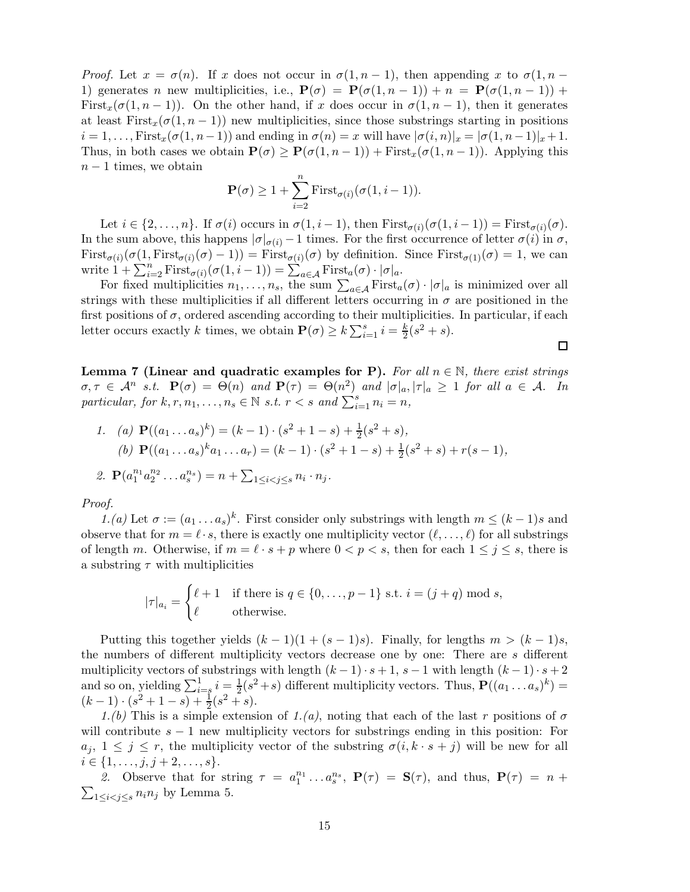*Proof.* Let  $x = \sigma(n)$ . If x does not occur in  $\sigma(1, n-1)$ , then appending x to  $\sigma(1, n-1)$ 1) generates n new multiplicities, i.e.,  $P(\sigma) = P(\sigma(1, n-1)) + n = P(\sigma(1, n-1)) +$ First<sub>x</sub>( $\sigma(1, n-1)$ ). On the other hand, if x does occur in  $\sigma(1, n-1)$ , then it generates at least  $First_{x}(\sigma(1, n-1))$  new multiplicities, since those substrings starting in positions  $i = 1,...,$  First $_x(\sigma(1, n-1))$  and ending in  $\sigma(n) = x$  will have  $|\sigma(i, n)|_x = |\sigma(1, n-1)|_x+1$ . Thus, in both cases we obtain  $P(\sigma) \geq P(\sigma(1, n-1)) + \text{First}_x(\sigma(1, n-1))$ . Applying this  $n-1$  times, we obtain

$$
\mathbf{P}(\sigma) \ge 1 + \sum_{i=2}^{n} \mathrm{First}_{\sigma(i)}(\sigma(1, i-1)).
$$

Let  $i \in \{2,\ldots,n\}$ . If  $\sigma(i)$  occurs in  $\sigma(1,i-1)$ , then  $\text{First}_{\sigma(i)}(\sigma(1,i-1)) = \text{First}_{\sigma(i)}(\sigma)$ . In the sum above, this happens  $|\sigma|_{\sigma(i)} - 1$  times. For the first occurrence of letter  $\sigma(i)$  in  $\sigma$ ,  $First_{\sigma(i)}(\sigma(1, \text{First}_{\sigma(i)}(\sigma)-1)) = First_{\sigma(i)}(\sigma)$  by definition. Since  $First_{\sigma(1)}(\sigma)=1$ , we can write  $1 + \sum_{i=2}^{n} \text{First}_{\sigma(i)}(\sigma(1, i-1)) = \sum_{a \in \mathcal{A}} \text{First}_{a}(\sigma) \cdot |\sigma|_{a}.$ <br>For fixed multiplicities  $n_i$ , as the sum  $\sum$ . First

For fixed multiplicities  $n_1, \ldots, n_s$ , the sum  $\sum_{a \in A} \text{First}_a(\sigma) \cdot |\sigma|_a$  is minimized over all  $\sigma$  and  $\sigma$  is minimized over all  $\sigma$ . strings with these multiplicities if all different letters occurring in  $\sigma$  are positioned in the first positions of  $\sigma$ , ordered ascending according to their multiplicities. In particular, if each letter occurs exactly k times, we obtain  $\mathbf{P}(\sigma) \ge k \sum_{i=1}^{s} i = \frac{k}{2}(s^2 + s)$ .

**Lemma 7 (Linear and quadratic examples for P).** For all  $n \in \mathbb{N}$ , there exist strings  $\sigma, \tau \in \mathcal{A}^n$  *s.t.*  $\mathbf{P}(\sigma) = \Theta(n)$  and  $\mathbf{P}(\tau) = \Theta(n^2)$  and  $|\sigma|_a, |\tau|_a \geq 1$  for all  $a \in \mathcal{A}$ . In *particular, for*  $k, r, n_1, \ldots, n_s \in \mathbb{N}$  *s.t.*  $r < s$  *and*  $\sum_{i=1}^{s} n_i = n$ ,

1. (a) 
$$
\mathbf{P}((a_1 \ldots a_s)^k) = (k-1) \cdot (s^2 + 1 - s) + \frac{1}{2}(s^2 + s),
$$
  
\n(b)  $\mathbf{P}((a_1 \ldots a_s)^k a_1 \ldots a_r) = (k-1) \cdot (s^2 + 1 - s) + \frac{1}{2}(s^2 + s) + r(s-1),$   
\n2.  $\mathbf{P}(a_1^{n_1} a_2^{n_2} \ldots a_s^{n_s}) = n + \sum_{1 \leq i < j \leq s} n_i \cdot n_j.$ 

*Proof.*

*1.(a)* Let  $\sigma := (a_1 \dots a_s)^k$ . First consider only substrings with length  $m \leq (k-1)s$  and observe that for  $m = \ell \cdot s$ , there is exactly one multiplicity vector  $(\ell, \ldots, \ell)$  for all substrings of length m. Otherwise, if  $m = \ell \cdot s + p$  where  $0 < p < s$ , then for each  $1 \leq j \leq s$ , there is a substring  $\tau$  with multiplicities

$$
|\tau|_{a_i} = \begin{cases} \ell+1 & \text{if there is } q \in \{0, \ldots, p-1\} \text{ s.t. } i = (j+q) \text{ mod } s, \\ \ell & \text{otherwise.} \end{cases}
$$

Putting this together yields  $(k-1)(1+(s-1)s)$ . Finally, for lengths  $m > (k-1)s$ , the numbers of different multiplicity vectors decrease one by one: There are s different multiplicity vectors of substrings with length  $(k-1)\cdot s+1$ ,  $s-1$  with length  $(k-1)\cdot s+2$ and so on, yielding  $\sum_{i=s}^{1} i = \frac{1}{2}(s^2+s)$  different multiplicity vectors. Thus,  $\mathbf{P}((a_1 \dots a_s)^k) = (k-1) \cdot (s^2+1-s) + \frac{1}{2}(s^2+s)$ .<br>
1 (b) This is a simple extension of 1 (a) noting that each of the last r positions of

*1.(b)* This is a simple extension of *1.(a)*, noting that each of the last r positions of  $\sigma$ will contribute  $s - 1$  new multiplicity vectors for substrings ending in this position: For  $a_j$ ,  $1 \leq j \leq r$ , the multiplicity vector of the substring  $\sigma(i, k \cdot s + j)$  will be new for all  $i \in \{1, \ldots, j, j+2, \ldots, s\}.$ 

2. Observe that for string  $\tau = a_1^{n_1} \dots a_s^{n_s}$ ,  $\mathbf{P}(\tau) = \mathbf{S}(\tau)$ , and thus,  $\mathbf{P}(\tau) = n + \sum_{1 \le i \le s} n_i n_j$  by Lemma 5.  $\sum_{1 \leq i \leq j \leq s} n_i n_j$  by Lemma 5.

 $\Box$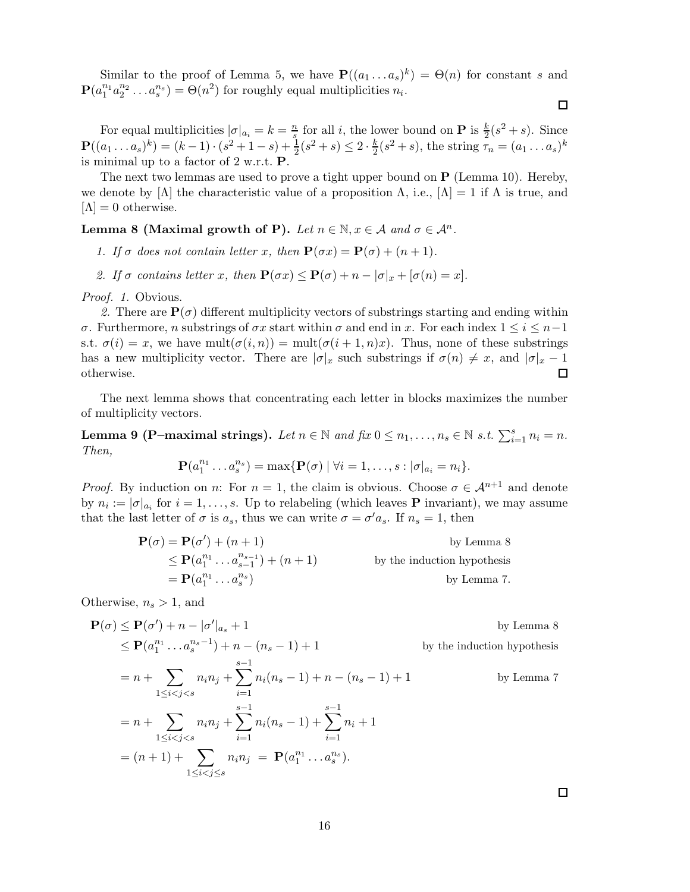Similar to the proof of Lemma 5, we have  $P((a_1 \ldots a_s)^k) = \Theta(n)$  for constant s and  $\mathbf{P}(a_1^{n_1}a_2^{n_2}\ldots a_s^{n_s}) = \Theta(n^2)$  for roughly equal multiplicities  $n_i$ .

For equal multiplicities  $|\sigma|_{a_i} = k = \frac{n}{s}$  for all *i*, the lower bound on **P** is  $\frac{k}{2}(s^2 + s)$ . Since **P**((a<sub>1</sub>...a<sub>s</sub>)<sup>k</sup>) = (k-1)·(s<sup>2</sup> + 1 − s) +  $\frac{1}{2}$ (s<sup>2</sup> + s) ≤ 2 ·  $\frac{k}{2}$ (s<sup>2</sup> + s), the string  $\tau_n = (a_1...a_s)^k$ <br>is minimal up to a factor of 2 w r t **P** is minimal up to a factor of 2 w.r.t. **P**.

The next two lemmas are used to prove a tight upper bound on **P** (Lemma 10). Hereby, we denote by  $[\Lambda]$  the characteristic value of a proposition  $\Lambda$ , i.e.,  $[\Lambda] = 1$  if  $\Lambda$  is true, and  $[\Lambda] = 0$  otherwise.

**Lemma 8 (Maximal growth of P).** Let  $n \in \mathbb{N}, x \in \mathcal{A}$  and  $\sigma \in \mathcal{A}^n$ .

- *1.* If  $\sigma$  does not contain letter x, then  $\mathbf{P}(\sigma x) = \mathbf{P}(\sigma) + (n+1)$ *.*
- 2. If  $\sigma$  contains letter x, then  $\mathbf{P}(\sigma x) \leq \mathbf{P}(\sigma) + n |\sigma|_x + |\sigma(n) = x$ .

*Proof. 1.* Obvious.

2. There are  $\mathbf{P}(\sigma)$  different multiplicity vectors of substrings starting and ending within σ. Furthermore, *n* substrings of σx start within σ and end in x. For each index  $1 \leq i \leq n-1$ s.t.  $\sigma(i) = x$ , we have mult $(\sigma(i, n)) = \text{mult}(\sigma(i + 1, n)x)$ . Thus, none of these substrings has a new multiplicity vector. There are  $|\sigma|_x$  such substrings if  $\sigma(n) \neq x$ , and  $|\sigma|_x - 1$ otherwise.  $\Box$ 

The next lemma shows that concentrating each letter in blocks maximizes the number of multiplicity vectors.

**Lemma 9 (P–maximal strings).** *Let*  $n \in \mathbb{N}$  and  $fix\ 0 \leq n_1, \ldots, n_s \in \mathbb{N}$  *s.t.*  $\sum_{i=1}^s n_i = n$ . *Then,*

$$
\mathbf{P}(a_1^{n_1} \dots a_s^{n_s}) = \max \{ \mathbf{P}(\sigma) \mid \forall i = 1, \dots, s : |\sigma|_{a_i} = n_i \}.
$$

*Proof.* By induction on n: For  $n = 1$ , the claim is obvious. Choose  $\sigma \in \mathcal{A}^{n+1}$  and denote by  $n_i := |\sigma|_{a_i}$  for  $i = 1, \ldots, s$ . Up to relabeling (which leaves **P** invariant), we may assume that the last letter of  $\sigma$  is  $a_s$ , thus we can write  $\sigma = \sigma' a_s$ . If  $n_s = 1$ , then

$$
\mathbf{P}(\sigma) = \mathbf{P}(\sigma') + (n+1) \qquad \text{by Lemma 8}
$$
  
\n
$$
\leq \mathbf{P}(a_1^{n_1} \dots a_{s-1}^{n_{s-1}}) + (n+1) \qquad \text{by the induction hypothesis}
$$
  
\n
$$
= \mathbf{P}(a_1^{n_1} \dots a_s^{n_s}) \qquad \text{by Lemma 7.}
$$

Otherwise,  $n_s > 1$ , and

$$
\mathbf{P}(\sigma) \leq \mathbf{P}(\sigma') + n - |\sigma'|_{a_s} + 1 \qquad \text{by Lemma 8}
$$
\n
$$
\leq \mathbf{P}(a_1^{n_1} \dots a_s^{n_s-1}) + n - (n_s - 1) + 1 \qquad \text{by the induction hypothesis}
$$
\n
$$
= n + \sum_{1 \leq i < j < s} n_i n_j + \sum_{i=1}^{s-1} n_i (n_s - 1) + n - (n_s - 1) + 1 \qquad \text{by Lemma 7}
$$
\n
$$
= n + \sum_{1 \leq i < j < s} n_i n_j + \sum_{i=1}^{s-1} n_i (n_s - 1) + \sum_{i=1}^{s-1} n_i + 1
$$
\n
$$
= (n + 1) + \sum_{1 \leq i < j \leq s} n_i n_j = \mathbf{P}(a_1^{n_1} \dots a_s^{n_s}).
$$

 $\Box$ 

 $\Box$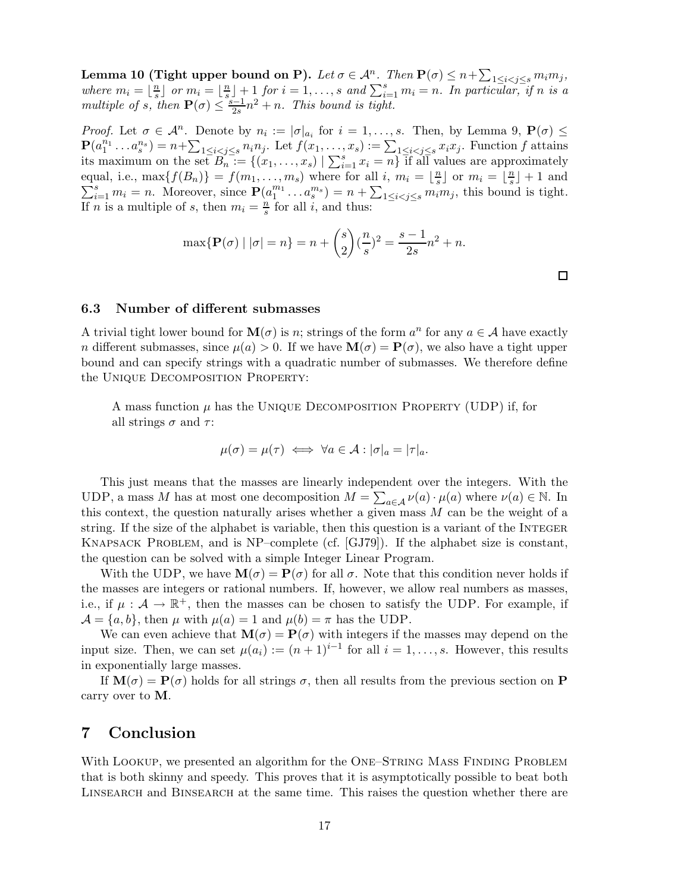**Lemma 10 (Tight upper bound on P).** Let  $\sigma \in \mathcal{A}^n$ . Then  $\mathbf{P}(\sigma) \leq n + \sum_{1 \leq i < j \leq s} m_i m_j$ , where  $m_i = \lfloor \frac{n}{s} \rfloor$  or  $m_i = \lfloor \frac{n}{s} \rfloor + 1$  for  $i = 1, \ldots, s$  and  $\sum_{i=1}^s m_i = n$ . In particular, if n is a multiple

*Proof.* Let  $\sigma \in \mathcal{A}^n$ . Denote by  $n_i := |\sigma|_{a_i}$  for  $i = 1, \ldots, s$ . Then, by Lemma 9,  $P(\sigma) \leq$  $\mathbf{P}(a_1^{n_1} \dots a_s^{n_s}) = n + \sum_{1 \leq i < j \leq s} n_i n_j$ . Let  $f(x_1, \dots, x_s) := \sum_{1 \leq i < j \leq s} x_i x_j$ . Function f attains its maximum on the set  $B_n := \{(x_1, \ldots, x_s) \mid \sum_{i=1}^s x_i = n\}$  if all values are approximately equal, i.e.,  $\max\{f(B_n)\} = f(m_1, \ldots, m_s)$  where for all i,  $m_i = \lfloor \frac{n}{s} \rfloor$  or  $m_i = \lfloor \frac{n}{s} \rfloor + 1$  and  $\sum_{i=1}^{s} m_i = n$ . Moreover, since  $\mathbf{P}(a_1^{m_1} \dots a_s^{m_s}) = n + \sum_{1 \leq i < j \leq s} a_i m_j$ , this bound is tight.<br>If *n* is a multiple of *s*, then  $m_i = \frac{n}{s}$  for all *i*, and thus:

$$
\max\{\mathbf{P}(\sigma) \mid |\sigma| = n\} = n + {s \choose 2} (\frac{n}{s})^2 = \frac{s-1}{2s} n^2 + n.
$$

#### **6.3 Number of different submasses**

A trivial tight lower bound for  $\mathbf{M}(\sigma)$  is n; strings of the form  $a^n$  for any  $a \in \mathcal{A}$  have exactly n different submasses, since  $\mu(a) > 0$ . If we have  $\mathbf{M}(\sigma) = \mathbf{P}(\sigma)$ , we also have a tight upper bound and can specify strings with a quadratic number of submasses. We therefore define the UNIQUE DECOMPOSITION PROPERTY:

A mass function  $\mu$  has the UNIQUE DECOMPOSITION PROPERTY (UDP) if, for all strings  $\sigma$  and  $\tau$ :

$$
\mu(\sigma) = \mu(\tau) \iff \forall a \in \mathcal{A} : |\sigma|_a = |\tau|_a.
$$

This just means that the masses are linearly independent over the integers. With the UDP, a mass M has at most one decomposition  $M = \sum_{a \in \mathcal{A}} \nu(a) \cdot \mu(a)$  where  $\nu(a) \in \mathbb{N}$ . In this context, the question naturally arises whether a given mass  $M$  can be the weight of a string. If the size of the alphabet is variable, then this question is a variant of the INTEGER KNAPSACK PROBLEM, and is NP–complete (cf. [GJ79]). If the alphabet size is constant, the question can be solved with a simple Integer Linear Program.

With the UDP, we have  $\mathbf{M}(\sigma) = \mathbf{P}(\sigma)$  for all  $\sigma$ . Note that this condition never holds if the masses are integers or rational numbers. If, however, we allow real numbers as masses, i.e., if  $\mu : \mathcal{A} \to \mathbb{R}^+$ , then the masses can be chosen to satisfy the UDP. For example, if  $\mathcal{A} = \{a, b\}$ , then  $\mu$  with  $\mu(a) = 1$  and  $\mu(b) = \pi$  has the UDP.

We can even achieve that  $\mathbf{M}(\sigma) = \mathbf{P}(\sigma)$  with integers if the masses may depend on the input size. Then, we can set  $\mu(a_i) := (n+1)^{i-1}$  for all  $i = 1, \ldots, s$ . However, this results in exponentially large masses.

If  $\mathbf{M}(\sigma) = \mathbf{P}(\sigma)$  holds for all strings  $\sigma$ , then all results from the previous section on **P** carry over to **M**.

## **7 Conclusion**

With LOOKUP, we presented an algorithm for the ONE–STRING MASS FINDING PROBLEM that is both skinny and speedy. This proves that it is asymptotically possible to beat both Linsearch and Binsearch at the same time. This raises the question whether there are

□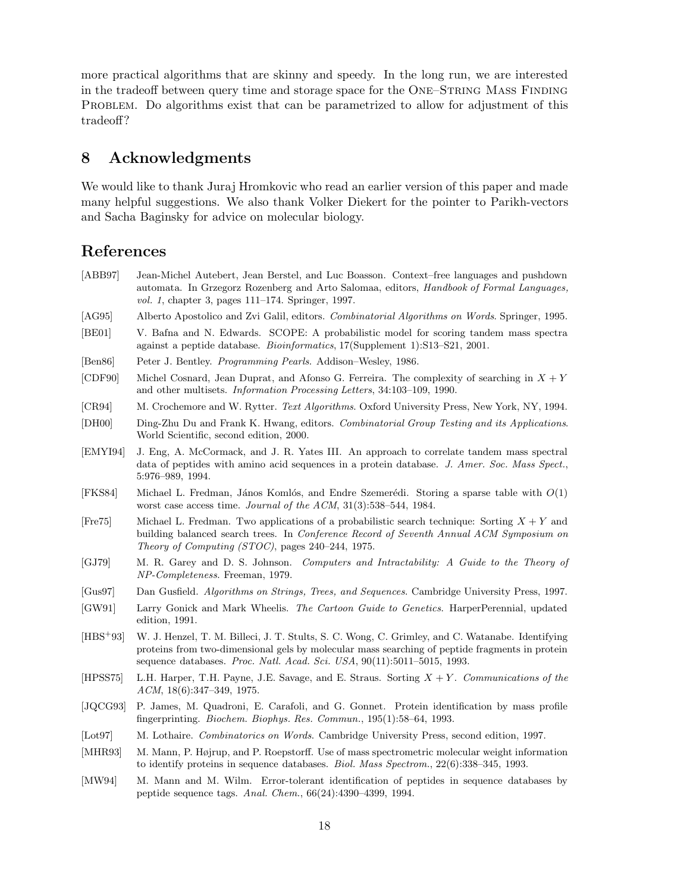more practical algorithms that are skinny and speedy. In the long run, we are interested in the tradeoff between query time and storage space for the ONE–STRING MASS FINDING PROBLEM. Do algorithms exist that can be parametrized to allow for adjustment of this tradeoff?

## **8 Acknowledgments**

We would like to thank Juraj Hromkovic who read an earlier version of this paper and made many helpful suggestions. We also thank Volker Diekert for the pointer to Parikh-vectors and Sacha Baginsky for advice on molecular biology.

## **References**

- [ABB97] Jean-Michel Autebert, Jean Berstel, and Luc Boasson. Context–free languages and pushdown automata. In Grzegorz Rozenberg and Arto Salomaa, editors, *Handbook of Formal Languages, vol. 1*, chapter 3, pages 111–174. Springer, 1997.
- [AG95] Alberto Apostolico and Zvi Galil, editors. *Combinatorial Algorithms on Words*. Springer, 1995.
- [BE01] V. Bafna and N. Edwards. SCOPE: A probabilistic model for scoring tandem mass spectra against a peptide database. *Bioinformatics*, 17(Supplement 1):S13–S21, 2001.
- [Ben86] Peter J. Bentley. *Programming Pearls*. Addison–Wesley, 1986.
- [CDF90] Michel Cosnard, Jean Duprat, and Afonso G. Ferreira. The complexity of searching in *X* + *Y* and other multisets. *Information Processing Letters*, 34:103–109, 1990.
- [CR94] M. Crochemore and W. Rytter. *Text Algorithms*. Oxford University Press, New York, NY, 1994.
- [DH00] Ding-Zhu Du and Frank K. Hwang, editors. *Combinatorial Group Testing and its Applications*. World Scientific, second edition, 2000.
- [EMYI94] J. Eng, A. McCormack, and J. R. Yates III. An approach to correlate tandem mass spectral data of peptides with amino acid sequences in a protein database. *J. Amer. Soc. Mass Spect.*, 5:976–989, 1994.
- [FKS84] Michael L. Fredman, János Komlós, and Endre Szemerédi. Storing a sparse table with  $O(1)$ worst case access time. *Journal of the ACM*, 31(3):538–544, 1984.
- [Fre75] Michael L. Fredman. Two applications of a probabilistic search technique: Sorting *X* + *Y* and building balanced search trees. In *Conference Record of Seventh Annual ACM Symposium on Theory of Computing (STOC)*, pages 240–244, 1975.
- [GJ79] M. R. Garey and D. S. Johnson. *Computers and Intractability: A Guide to the Theory of NP-Completeness*. Freeman, 1979.
- [Gus97] Dan Gusfield. *Algorithms on Strings, Trees, and Sequences*. Cambridge University Press, 1997.
- [GW91] Larry Gonick and Mark Wheelis. *The Cartoon Guide to Genetics*. HarperPerennial, updated edition, 1991.
- [HBS<sup>+</sup>93] W. J. Henzel, T. M. Billeci, J. T. Stults, S. C. Wong, C. Grimley, and C. Watanabe. Identifying proteins from two-dimensional gels by molecular mass searching of peptide fragments in protein sequence databases. *Proc. Natl. Acad. Sci. USA*, 90(11):5011–5015, 1993.
- [HPSS75] L.H. Harper, T.H. Payne, J.E. Savage, and E. Straus. Sorting *X* + *Y* . *Communications of the ACM*, 18(6):347–349, 1975.
- [JQCG93] P. James, M. Quadroni, E. Carafoli, and G. Gonnet. Protein identification by mass profile fingerprinting. *Biochem. Biophys. Res. Commun.*, 195(1):58–64, 1993.
- [Lot97] M. Lothaire. *Combinatorics on Words*. Cambridge University Press, second edition, 1997.
- [MHR93] M. Mann, P. Højrup, and P. Roepstorff. Use of mass spectrometric molecular weight information to identify proteins in sequence databases. *Biol. Mass Spectrom.*, 22(6):338–345, 1993.
- [MW94] M. Mann and M. Wilm. Error-tolerant identification of peptides in sequence databases by peptide sequence tags. *Anal. Chem.*, 66(24):4390–4399, 1994.